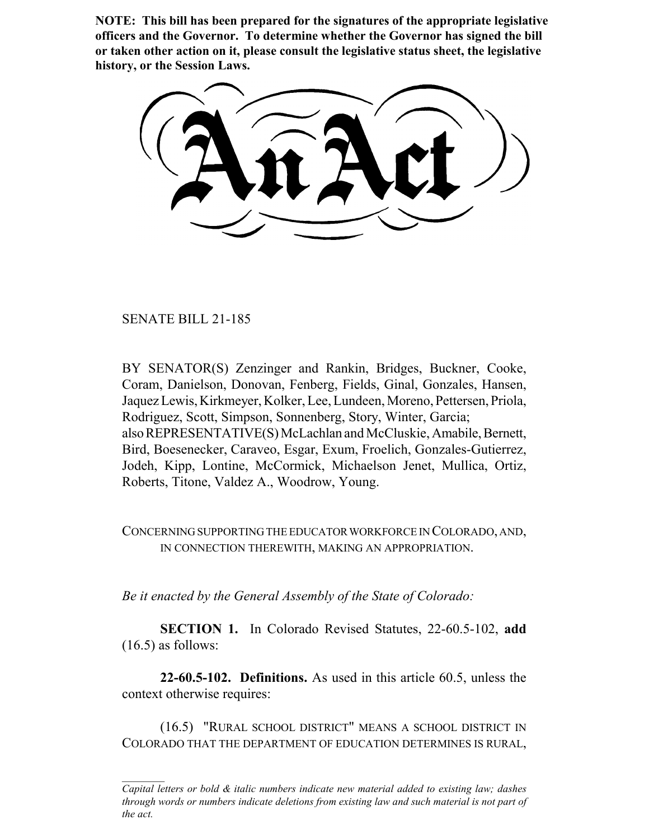**NOTE: This bill has been prepared for the signatures of the appropriate legislative officers and the Governor. To determine whether the Governor has signed the bill or taken other action on it, please consult the legislative status sheet, the legislative history, or the Session Laws.**

SENATE BILL 21-185

BY SENATOR(S) Zenzinger and Rankin, Bridges, Buckner, Cooke, Coram, Danielson, Donovan, Fenberg, Fields, Ginal, Gonzales, Hansen, Jaquez Lewis, Kirkmeyer, Kolker, Lee, Lundeen, Moreno, Pettersen, Priola, Rodriguez, Scott, Simpson, Sonnenberg, Story, Winter, Garcia; also REPRESENTATIVE(S) McLachlan and McCluskie, Amabile, Bernett, Bird, Boesenecker, Caraveo, Esgar, Exum, Froelich, Gonzales-Gutierrez, Jodeh, Kipp, Lontine, McCormick, Michaelson Jenet, Mullica, Ortiz, Roberts, Titone, Valdez A., Woodrow, Young.

CONCERNING SUPPORTING THE EDUCATOR WORKFORCE IN COLORADO, AND, IN CONNECTION THEREWITH, MAKING AN APPROPRIATION.

*Be it enacted by the General Assembly of the State of Colorado:*

**SECTION 1.** In Colorado Revised Statutes, 22-60.5-102, **add**  $(16.5)$  as follows:

**22-60.5-102. Definitions.** As used in this article 60.5, unless the context otherwise requires:

(16.5) "RURAL SCHOOL DISTRICT" MEANS A SCHOOL DISTRICT IN COLORADO THAT THE DEPARTMENT OF EDUCATION DETERMINES IS RURAL,

*Capital letters or bold & italic numbers indicate new material added to existing law; dashes through words or numbers indicate deletions from existing law and such material is not part of the act.*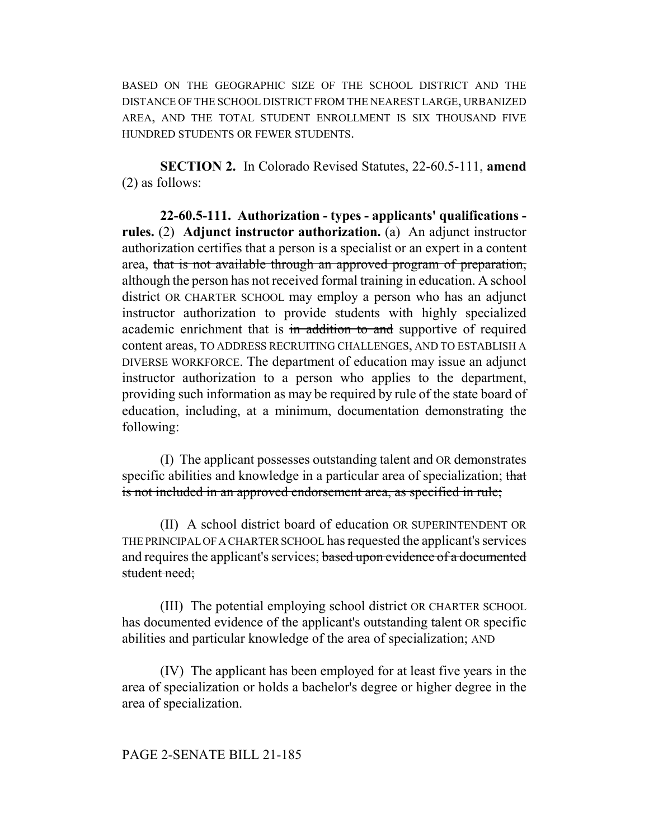BASED ON THE GEOGRAPHIC SIZE OF THE SCHOOL DISTRICT AND THE DISTANCE OF THE SCHOOL DISTRICT FROM THE NEAREST LARGE, URBANIZED AREA, AND THE TOTAL STUDENT ENROLLMENT IS SIX THOUSAND FIVE HUNDRED STUDENTS OR FEWER STUDENTS.

**SECTION 2.** In Colorado Revised Statutes, 22-60.5-111, **amend** (2) as follows:

**22-60.5-111. Authorization - types - applicants' qualifications rules.** (2) **Adjunct instructor authorization.** (a) An adjunct instructor authorization certifies that a person is a specialist or an expert in a content area, that is not available through an approved program of preparation, although the person has not received formal training in education. A school district OR CHARTER SCHOOL may employ a person who has an adjunct instructor authorization to provide students with highly specialized academic enrichment that is in addition to and supportive of required content areas, TO ADDRESS RECRUITING CHALLENGES, AND TO ESTABLISH A DIVERSE WORKFORCE. The department of education may issue an adjunct instructor authorization to a person who applies to the department, providing such information as may be required by rule of the state board of education, including, at a minimum, documentation demonstrating the following:

(I) The applicant possesses outstanding talent and OR demonstrates specific abilities and knowledge in a particular area of specialization; that is not included in an approved endorsement area, as specified in rule;

(II) A school district board of education OR SUPERINTENDENT OR THE PRINCIPAL OF A CHARTER SCHOOL has requested the applicant's services and requires the applicant's services; based upon evidence of a documented student need:

(III) The potential employing school district OR CHARTER SCHOOL has documented evidence of the applicant's outstanding talent OR specific abilities and particular knowledge of the area of specialization; AND

(IV) The applicant has been employed for at least five years in the area of specialization or holds a bachelor's degree or higher degree in the area of specialization.

## PAGE 2-SENATE BILL 21-185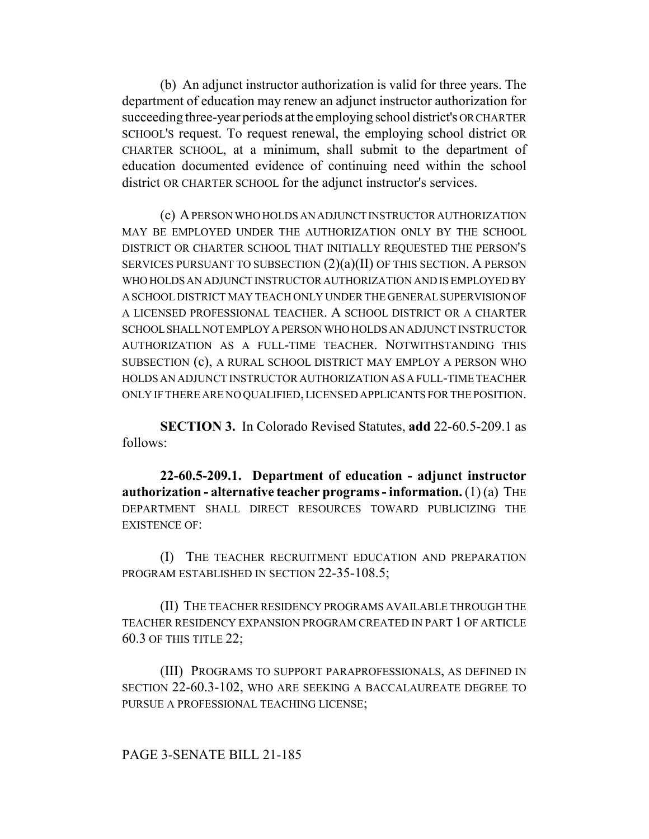(b) An adjunct instructor authorization is valid for three years. The department of education may renew an adjunct instructor authorization for succeeding three-year periods at the employing school district's OR CHARTER SCHOOL'S request. To request renewal, the employing school district OR CHARTER SCHOOL, at a minimum, shall submit to the department of education documented evidence of continuing need within the school district OR CHARTER SCHOOL for the adjunct instructor's services.

(c) A PERSON WHO HOLDS AN ADJUNCT INSTRUCTOR AUTHORIZATION MAY BE EMPLOYED UNDER THE AUTHORIZATION ONLY BY THE SCHOOL DISTRICT OR CHARTER SCHOOL THAT INITIALLY REQUESTED THE PERSON'S SERVICES PURSUANT TO SUBSECTION (2)(a)(II) OF THIS SECTION. A PERSON WHO HOLDS AN ADJUNCT INSTRUCTOR AUTHORIZATION AND IS EMPLOYED BY A SCHOOL DISTRICT MAY TEACH ONLY UNDER THE GENERAL SUPERVISION OF A LICENSED PROFESSIONAL TEACHER. A SCHOOL DISTRICT OR A CHARTER SCHOOL SHALL NOT EMPLOY A PERSON WHO HOLDS AN ADJUNCT INSTRUCTOR AUTHORIZATION AS A FULL-TIME TEACHER. NOTWITHSTANDING THIS SUBSECTION (c), A RURAL SCHOOL DISTRICT MAY EMPLOY A PERSON WHO HOLDS AN ADJUNCT INSTRUCTOR AUTHORIZATION AS A FULL-TIME TEACHER ONLY IF THERE ARE NO QUALIFIED, LICENSED APPLICANTS FOR THE POSITION.

**SECTION 3.** In Colorado Revised Statutes, **add** 22-60.5-209.1 as follows:

**22-60.5-209.1. Department of education - adjunct instructor authorization - alternative teacher programs - information.** (1) (a) THE DEPARTMENT SHALL DIRECT RESOURCES TOWARD PUBLICIZING THE EXISTENCE OF:

(I) THE TEACHER RECRUITMENT EDUCATION AND PREPARATION PROGRAM ESTABLISHED IN SECTION 22-35-108.5;

(II) THE TEACHER RESIDENCY PROGRAMS AVAILABLE THROUGH THE TEACHER RESIDENCY EXPANSION PROGRAM CREATED IN PART 1 OF ARTICLE 60.3 OF THIS TITLE 22;

(III) PROGRAMS TO SUPPORT PARAPROFESSIONALS, AS DEFINED IN SECTION 22-60.3-102, WHO ARE SEEKING A BACCALAUREATE DEGREE TO PURSUE A PROFESSIONAL TEACHING LICENSE;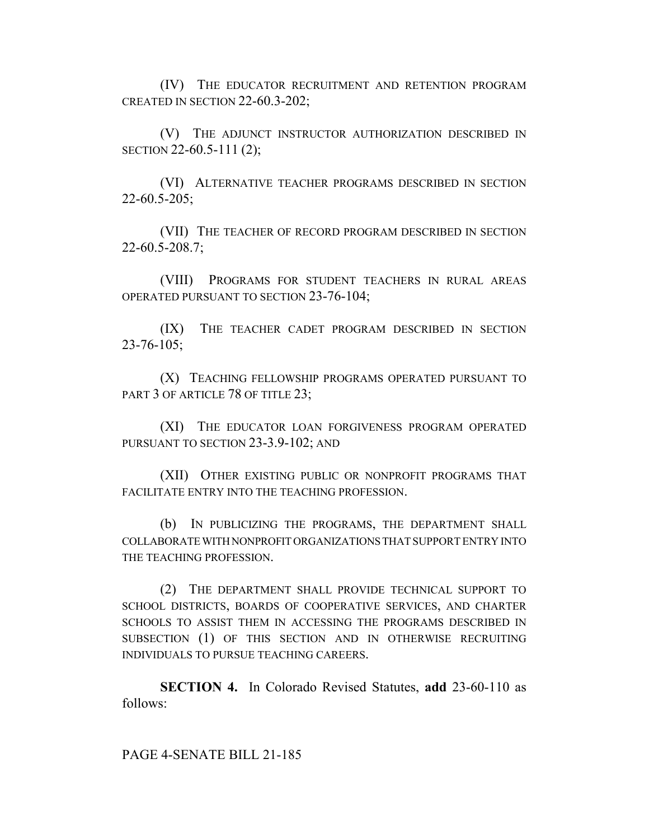(IV) THE EDUCATOR RECRUITMENT AND RETENTION PROGRAM CREATED IN SECTION 22-60.3-202;

(V) THE ADJUNCT INSTRUCTOR AUTHORIZATION DESCRIBED IN SECTION 22-60.5-111 (2);

(VI) ALTERNATIVE TEACHER PROGRAMS DESCRIBED IN SECTION 22-60.5-205;

(VII) THE TEACHER OF RECORD PROGRAM DESCRIBED IN SECTION 22-60.5-208.7;

(VIII) PROGRAMS FOR STUDENT TEACHERS IN RURAL AREAS OPERATED PURSUANT TO SECTION 23-76-104;

(IX) THE TEACHER CADET PROGRAM DESCRIBED IN SECTION 23-76-105;

(X) TEACHING FELLOWSHIP PROGRAMS OPERATED PURSUANT TO PART 3 OF ARTICLE 78 OF TITLE 23;

(XI) THE EDUCATOR LOAN FORGIVENESS PROGRAM OPERATED PURSUANT TO SECTION 23-3.9-102; AND

(XII) OTHER EXISTING PUBLIC OR NONPROFIT PROGRAMS THAT FACILITATE ENTRY INTO THE TEACHING PROFESSION.

(b) IN PUBLICIZING THE PROGRAMS, THE DEPARTMENT SHALL COLLABORATE WITH NONPROFIT ORGANIZATIONS THAT SUPPORT ENTRY INTO THE TEACHING PROFESSION.

(2) THE DEPARTMENT SHALL PROVIDE TECHNICAL SUPPORT TO SCHOOL DISTRICTS, BOARDS OF COOPERATIVE SERVICES, AND CHARTER SCHOOLS TO ASSIST THEM IN ACCESSING THE PROGRAMS DESCRIBED IN SUBSECTION (1) OF THIS SECTION AND IN OTHERWISE RECRUITING INDIVIDUALS TO PURSUE TEACHING CAREERS.

**SECTION 4.** In Colorado Revised Statutes, **add** 23-60-110 as follows:

PAGE 4-SENATE BILL 21-185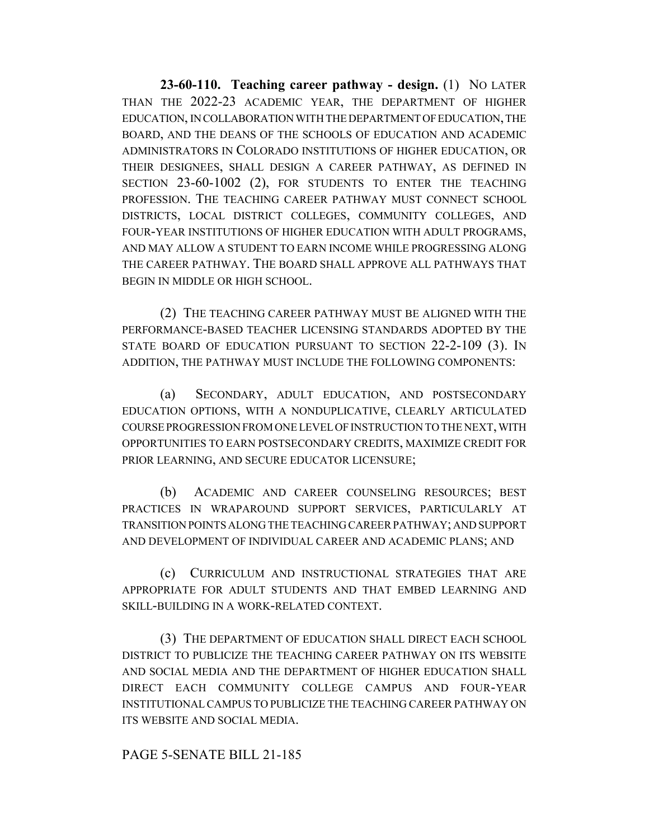**23-60-110. Teaching career pathway - design.** (1) NO LATER THAN THE 2022-23 ACADEMIC YEAR, THE DEPARTMENT OF HIGHER EDUCATION, IN COLLABORATION WITH THE DEPARTMENT OF EDUCATION, THE BOARD, AND THE DEANS OF THE SCHOOLS OF EDUCATION AND ACADEMIC ADMINISTRATORS IN COLORADO INSTITUTIONS OF HIGHER EDUCATION, OR THEIR DESIGNEES, SHALL DESIGN A CAREER PATHWAY, AS DEFINED IN SECTION 23-60-1002 (2), FOR STUDENTS TO ENTER THE TEACHING PROFESSION. THE TEACHING CAREER PATHWAY MUST CONNECT SCHOOL DISTRICTS, LOCAL DISTRICT COLLEGES, COMMUNITY COLLEGES, AND FOUR-YEAR INSTITUTIONS OF HIGHER EDUCATION WITH ADULT PROGRAMS, AND MAY ALLOW A STUDENT TO EARN INCOME WHILE PROGRESSING ALONG THE CAREER PATHWAY. THE BOARD SHALL APPROVE ALL PATHWAYS THAT BEGIN IN MIDDLE OR HIGH SCHOOL.

(2) THE TEACHING CAREER PATHWAY MUST BE ALIGNED WITH THE PERFORMANCE-BASED TEACHER LICENSING STANDARDS ADOPTED BY THE STATE BOARD OF EDUCATION PURSUANT TO SECTION 22-2-109 (3). IN ADDITION, THE PATHWAY MUST INCLUDE THE FOLLOWING COMPONENTS:

(a) SECONDARY, ADULT EDUCATION, AND POSTSECONDARY EDUCATION OPTIONS, WITH A NONDUPLICATIVE, CLEARLY ARTICULATED COURSE PROGRESSION FROM ONE LEVEL OF INSTRUCTION TO THE NEXT, WITH OPPORTUNITIES TO EARN POSTSECONDARY CREDITS, MAXIMIZE CREDIT FOR PRIOR LEARNING, AND SECURE EDUCATOR LICENSURE;

(b) ACADEMIC AND CAREER COUNSELING RESOURCES; BEST PRACTICES IN WRAPAROUND SUPPORT SERVICES, PARTICULARLY AT TRANSITION POINTS ALONG THE TEACHING CAREER PATHWAY; AND SUPPORT AND DEVELOPMENT OF INDIVIDUAL CAREER AND ACADEMIC PLANS; AND

(c) CURRICULUM AND INSTRUCTIONAL STRATEGIES THAT ARE APPROPRIATE FOR ADULT STUDENTS AND THAT EMBED LEARNING AND SKILL-BUILDING IN A WORK-RELATED CONTEXT.

(3) THE DEPARTMENT OF EDUCATION SHALL DIRECT EACH SCHOOL DISTRICT TO PUBLICIZE THE TEACHING CAREER PATHWAY ON ITS WEBSITE AND SOCIAL MEDIA AND THE DEPARTMENT OF HIGHER EDUCATION SHALL DIRECT EACH COMMUNITY COLLEGE CAMPUS AND FOUR-YEAR INSTITUTIONAL CAMPUS TO PUBLICIZE THE TEACHING CAREER PATHWAY ON ITS WEBSITE AND SOCIAL MEDIA.

## PAGE 5-SENATE BILL 21-185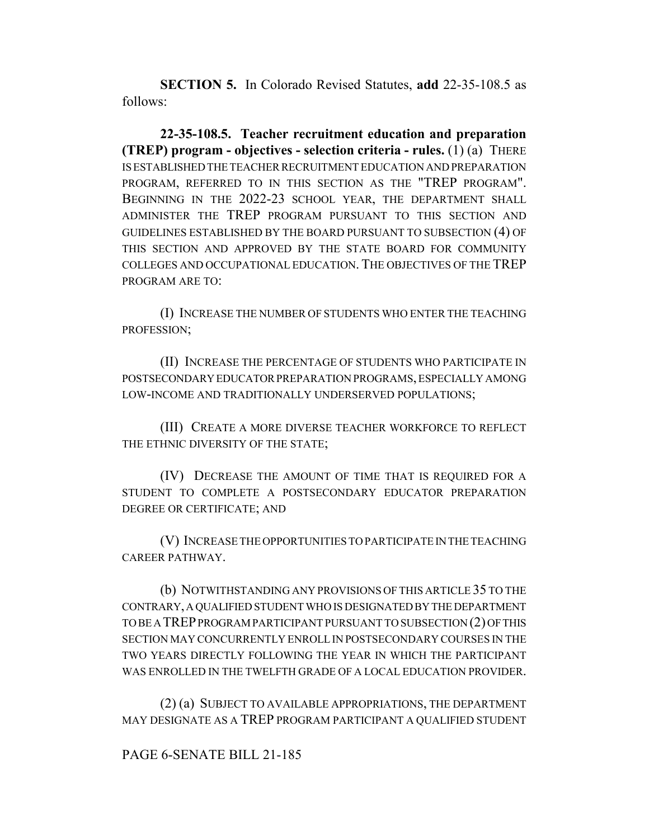**SECTION 5.** In Colorado Revised Statutes, **add** 22-35-108.5 as follows:

**22-35-108.5. Teacher recruitment education and preparation (TREP) program - objectives - selection criteria - rules.** (1) (a) THERE IS ESTABLISHED THE TEACHER RECRUITMENT EDUCATION AND PREPARATION PROGRAM, REFERRED TO IN THIS SECTION AS THE "TREP PROGRAM". BEGINNING IN THE 2022-23 SCHOOL YEAR, THE DEPARTMENT SHALL ADMINISTER THE TREP PROGRAM PURSUANT TO THIS SECTION AND GUIDELINES ESTABLISHED BY THE BOARD PURSUANT TO SUBSECTION (4) OF THIS SECTION AND APPROVED BY THE STATE BOARD FOR COMMUNITY COLLEGES AND OCCUPATIONAL EDUCATION. THE OBJECTIVES OF THE TREP PROGRAM ARE TO:

(I) INCREASE THE NUMBER OF STUDENTS WHO ENTER THE TEACHING PROFESSION;

(II) INCREASE THE PERCENTAGE OF STUDENTS WHO PARTICIPATE IN POSTSECONDARY EDUCATOR PREPARATION PROGRAMS, ESPECIALLY AMONG LOW-INCOME AND TRADITIONALLY UNDERSERVED POPULATIONS;

(III) CREATE A MORE DIVERSE TEACHER WORKFORCE TO REFLECT THE ETHNIC DIVERSITY OF THE STATE;

(IV) DECREASE THE AMOUNT OF TIME THAT IS REQUIRED FOR A STUDENT TO COMPLETE A POSTSECONDARY EDUCATOR PREPARATION DEGREE OR CERTIFICATE; AND

(V) INCREASE THE OPPORTUNITIES TO PARTICIPATE IN THE TEACHING CAREER PATHWAY.

(b) NOTWITHSTANDING ANY PROVISIONS OF THIS ARTICLE 35 TO THE CONTRARY, A QUALIFIED STUDENT WHO IS DESIGNATED BY THE DEPARTMENT TO BE A TREP PROGRAM PARTICIPANT PURSUANT TO SUBSECTION (2) OF THIS SECTION MAY CONCURRENTLY ENROLL IN POSTSECONDARY COURSES IN THE TWO YEARS DIRECTLY FOLLOWING THE YEAR IN WHICH THE PARTICIPANT WAS ENROLLED IN THE TWELFTH GRADE OF A LOCAL EDUCATION PROVIDER.

(2) (a) SUBJECT TO AVAILABLE APPROPRIATIONS, THE DEPARTMENT MAY DESIGNATE AS A TREP PROGRAM PARTICIPANT A QUALIFIED STUDENT

# PAGE 6-SENATE BILL 21-185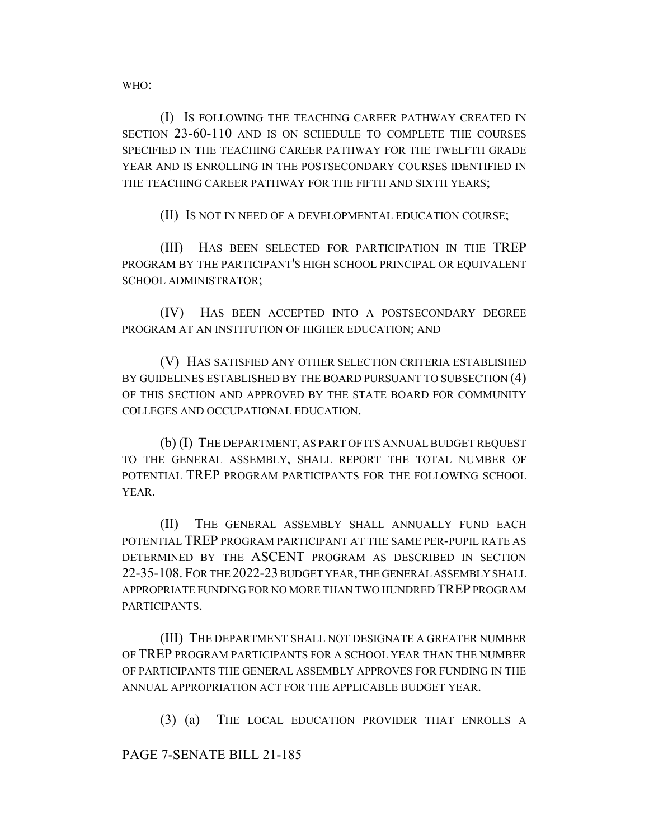WHO:

(I) IS FOLLOWING THE TEACHING CAREER PATHWAY CREATED IN SECTION 23-60-110 AND IS ON SCHEDULE TO COMPLETE THE COURSES SPECIFIED IN THE TEACHING CAREER PATHWAY FOR THE TWELFTH GRADE YEAR AND IS ENROLLING IN THE POSTSECONDARY COURSES IDENTIFIED IN THE TEACHING CAREER PATHWAY FOR THE FIFTH AND SIXTH YEARS;

(II) IS NOT IN NEED OF A DEVELOPMENTAL EDUCATION COURSE;

(III) HAS BEEN SELECTED FOR PARTICIPATION IN THE TREP PROGRAM BY THE PARTICIPANT'S HIGH SCHOOL PRINCIPAL OR EQUIVALENT SCHOOL ADMINISTRATOR;

(IV) HAS BEEN ACCEPTED INTO A POSTSECONDARY DEGREE PROGRAM AT AN INSTITUTION OF HIGHER EDUCATION; AND

(V) HAS SATISFIED ANY OTHER SELECTION CRITERIA ESTABLISHED BY GUIDELINES ESTABLISHED BY THE BOARD PURSUANT TO SUBSECTION (4) OF THIS SECTION AND APPROVED BY THE STATE BOARD FOR COMMUNITY COLLEGES AND OCCUPATIONAL EDUCATION.

(b) (I) THE DEPARTMENT, AS PART OF ITS ANNUAL BUDGET REQUEST TO THE GENERAL ASSEMBLY, SHALL REPORT THE TOTAL NUMBER OF POTENTIAL TREP PROGRAM PARTICIPANTS FOR THE FOLLOWING SCHOOL YEAR.

(II) THE GENERAL ASSEMBLY SHALL ANNUALLY FUND EACH POTENTIAL TREP PROGRAM PARTICIPANT AT THE SAME PER-PUPIL RATE AS DETERMINED BY THE ASCENT PROGRAM AS DESCRIBED IN SECTION 22-35-108. FOR THE 2022-23 BUDGET YEAR, THE GENERAL ASSEMBLY SHALL APPROPRIATE FUNDING FOR NO MORE THAN TWO HUNDRED TREP PROGRAM PARTICIPANTS.

(III) THE DEPARTMENT SHALL NOT DESIGNATE A GREATER NUMBER OF TREP PROGRAM PARTICIPANTS FOR A SCHOOL YEAR THAN THE NUMBER OF PARTICIPANTS THE GENERAL ASSEMBLY APPROVES FOR FUNDING IN THE ANNUAL APPROPRIATION ACT FOR THE APPLICABLE BUDGET YEAR.

(3) (a) THE LOCAL EDUCATION PROVIDER THAT ENROLLS A

PAGE 7-SENATE BILL 21-185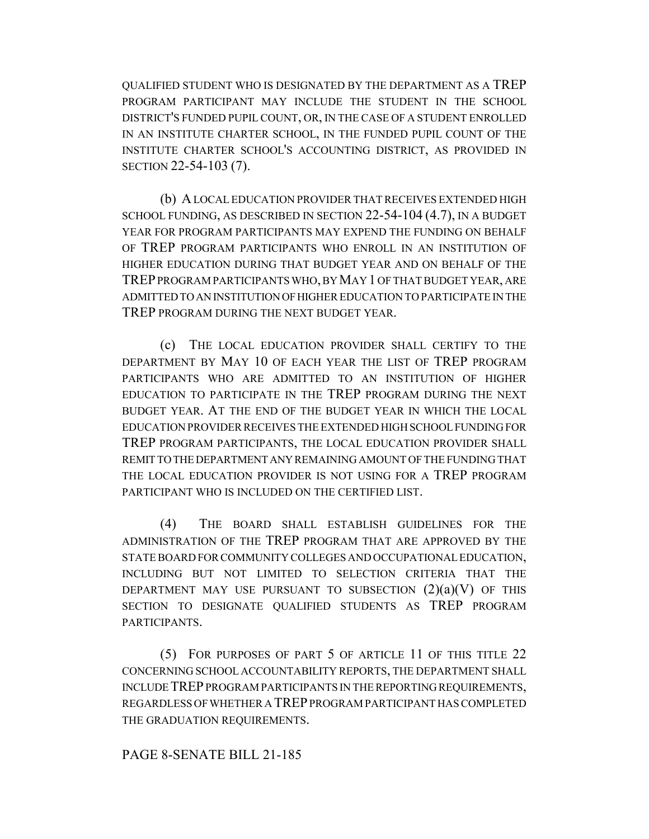QUALIFIED STUDENT WHO IS DESIGNATED BY THE DEPARTMENT AS A TREP PROGRAM PARTICIPANT MAY INCLUDE THE STUDENT IN THE SCHOOL DISTRICT'S FUNDED PUPIL COUNT, OR, IN THE CASE OF A STUDENT ENROLLED IN AN INSTITUTE CHARTER SCHOOL, IN THE FUNDED PUPIL COUNT OF THE INSTITUTE CHARTER SCHOOL'S ACCOUNTING DISTRICT, AS PROVIDED IN SECTION 22-54-103 (7).

(b) A LOCAL EDUCATION PROVIDER THAT RECEIVES EXTENDED HIGH SCHOOL FUNDING, AS DESCRIBED IN SECTION 22-54-104 (4.7), IN A BUDGET YEAR FOR PROGRAM PARTICIPANTS MAY EXPEND THE FUNDING ON BEHALF OF TREP PROGRAM PARTICIPANTS WHO ENROLL IN AN INSTITUTION OF HIGHER EDUCATION DURING THAT BUDGET YEAR AND ON BEHALF OF THE TREP PROGRAM PARTICIPANTS WHO, BY MAY 1 OF THAT BUDGET YEAR, ARE ADMITTED TO AN INSTITUTION OF HIGHER EDUCATION TO PARTICIPATE IN THE TREP PROGRAM DURING THE NEXT BUDGET YEAR.

(c) THE LOCAL EDUCATION PROVIDER SHALL CERTIFY TO THE DEPARTMENT BY MAY 10 OF EACH YEAR THE LIST OF TREP PROGRAM PARTICIPANTS WHO ARE ADMITTED TO AN INSTITUTION OF HIGHER EDUCATION TO PARTICIPATE IN THE TREP PROGRAM DURING THE NEXT BUDGET YEAR. AT THE END OF THE BUDGET YEAR IN WHICH THE LOCAL EDUCATION PROVIDER RECEIVES THE EXTENDED HIGH SCHOOL FUNDING FOR TREP PROGRAM PARTICIPANTS, THE LOCAL EDUCATION PROVIDER SHALL REMIT TO THE DEPARTMENT ANY REMAINING AMOUNT OF THE FUNDING THAT THE LOCAL EDUCATION PROVIDER IS NOT USING FOR A TREP PROGRAM PARTICIPANT WHO IS INCLUDED ON THE CERTIFIED LIST.

(4) THE BOARD SHALL ESTABLISH GUIDELINES FOR THE ADMINISTRATION OF THE TREP PROGRAM THAT ARE APPROVED BY THE STATE BOARD FOR COMMUNITY COLLEGES AND OCCUPATIONAL EDUCATION, INCLUDING BUT NOT LIMITED TO SELECTION CRITERIA THAT THE DEPARTMENT MAY USE PURSUANT TO SUBSECTION  $(2)(a)(V)$  of this SECTION TO DESIGNATE QUALIFIED STUDENTS AS TREP PROGRAM PARTICIPANTS.

(5) FOR PURPOSES OF PART 5 OF ARTICLE 11 OF THIS TITLE 22 CONCERNING SCHOOL ACCOUNTABILITY REPORTS, THE DEPARTMENT SHALL INCLUDE TREP PROGRAM PARTICIPANTS IN THE REPORTING REQUIREMENTS, REGARDLESS OF WHETHER A TREP PROGRAM PARTICIPANT HAS COMPLETED THE GRADUATION REQUIREMENTS.

## PAGE 8-SENATE BILL 21-185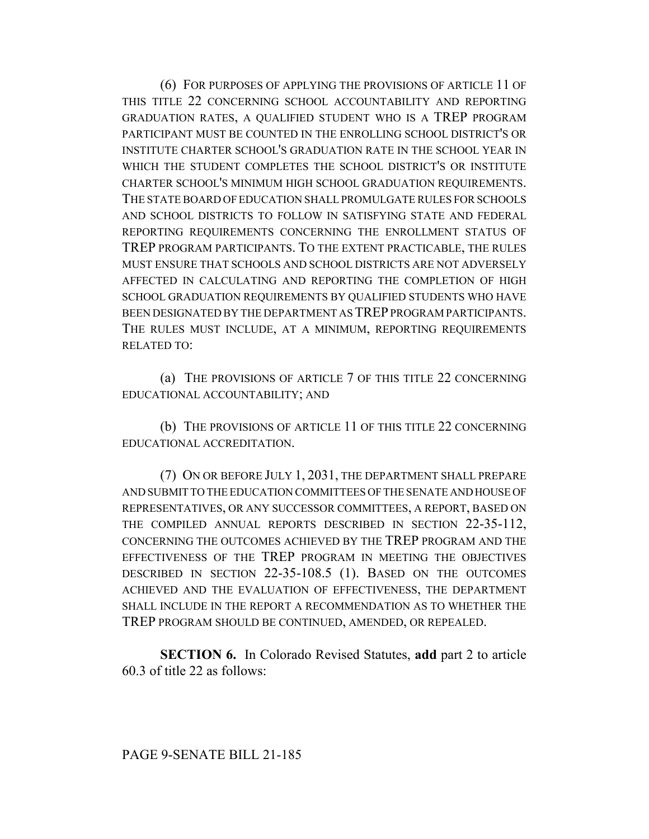(6) FOR PURPOSES OF APPLYING THE PROVISIONS OF ARTICLE 11 OF THIS TITLE 22 CONCERNING SCHOOL ACCOUNTABILITY AND REPORTING GRADUATION RATES, A QUALIFIED STUDENT WHO IS A TREP PROGRAM PARTICIPANT MUST BE COUNTED IN THE ENROLLING SCHOOL DISTRICT'S OR INSTITUTE CHARTER SCHOOL'S GRADUATION RATE IN THE SCHOOL YEAR IN WHICH THE STUDENT COMPLETES THE SCHOOL DISTRICT'S OR INSTITUTE CHARTER SCHOOL'S MINIMUM HIGH SCHOOL GRADUATION REQUIREMENTS. THE STATE BOARD OF EDUCATION SHALL PROMULGATE RULES FOR SCHOOLS AND SCHOOL DISTRICTS TO FOLLOW IN SATISFYING STATE AND FEDERAL REPORTING REQUIREMENTS CONCERNING THE ENROLLMENT STATUS OF TREP PROGRAM PARTICIPANTS. TO THE EXTENT PRACTICABLE, THE RULES MUST ENSURE THAT SCHOOLS AND SCHOOL DISTRICTS ARE NOT ADVERSELY AFFECTED IN CALCULATING AND REPORTING THE COMPLETION OF HIGH SCHOOL GRADUATION REQUIREMENTS BY QUALIFIED STUDENTS WHO HAVE BEEN DESIGNATED BY THE DEPARTMENT AS TREP PROGRAM PARTICIPANTS. THE RULES MUST INCLUDE, AT A MINIMUM, REPORTING REQUIREMENTS RELATED TO:

(a) THE PROVISIONS OF ARTICLE 7 OF THIS TITLE 22 CONCERNING EDUCATIONAL ACCOUNTABILITY; AND

(b) THE PROVISIONS OF ARTICLE 11 OF THIS TITLE 22 CONCERNING EDUCATIONAL ACCREDITATION.

(7) ON OR BEFORE JULY 1, 2031, THE DEPARTMENT SHALL PREPARE AND SUBMIT TO THE EDUCATION COMMITTEES OF THE SENATE AND HOUSE OF REPRESENTATIVES, OR ANY SUCCESSOR COMMITTEES, A REPORT, BASED ON THE COMPILED ANNUAL REPORTS DESCRIBED IN SECTION 22-35-112, CONCERNING THE OUTCOMES ACHIEVED BY THE TREP PROGRAM AND THE EFFECTIVENESS OF THE TREP PROGRAM IN MEETING THE OBJECTIVES DESCRIBED IN SECTION 22-35-108.5 (1). BASED ON THE OUTCOMES ACHIEVED AND THE EVALUATION OF EFFECTIVENESS, THE DEPARTMENT SHALL INCLUDE IN THE REPORT A RECOMMENDATION AS TO WHETHER THE TREP PROGRAM SHOULD BE CONTINUED, AMENDED, OR REPEALED.

**SECTION 6.** In Colorado Revised Statutes, **add** part 2 to article 60.3 of title 22 as follows: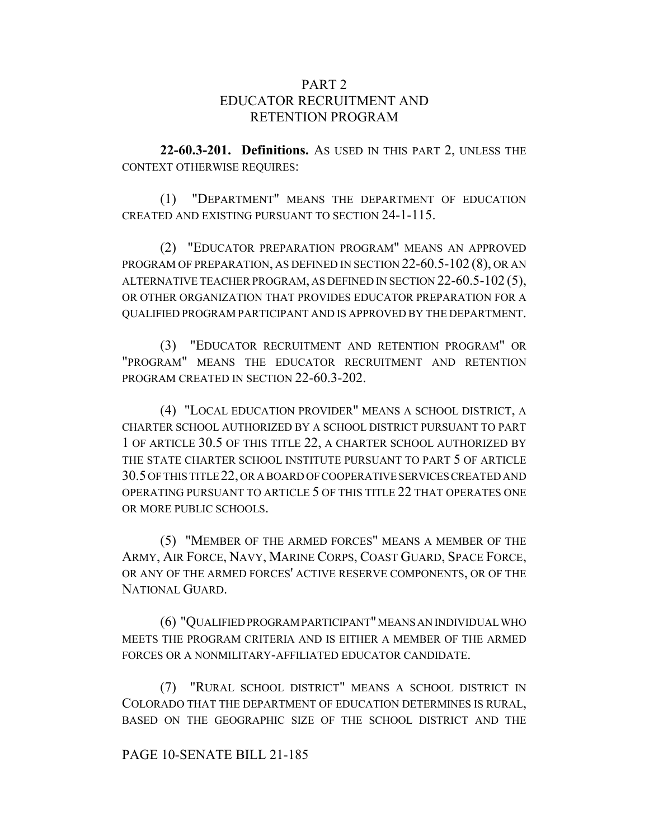# PART<sub>2</sub> EDUCATOR RECRUITMENT AND RETENTION PROGRAM

**22-60.3-201. Definitions.** AS USED IN THIS PART 2, UNLESS THE CONTEXT OTHERWISE REQUIRES:

(1) "DEPARTMENT" MEANS THE DEPARTMENT OF EDUCATION CREATED AND EXISTING PURSUANT TO SECTION 24-1-115.

(2) "EDUCATOR PREPARATION PROGRAM" MEANS AN APPROVED PROGRAM OF PREPARATION, AS DEFINED IN SECTION 22-60.5-102 (8), OR AN ALTERNATIVE TEACHER PROGRAM, AS DEFINED IN SECTION 22-60.5-102 (5), OR OTHER ORGANIZATION THAT PROVIDES EDUCATOR PREPARATION FOR A QUALIFIED PROGRAM PARTICIPANT AND IS APPROVED BY THE DEPARTMENT.

(3) "EDUCATOR RECRUITMENT AND RETENTION PROGRAM" OR "PROGRAM" MEANS THE EDUCATOR RECRUITMENT AND RETENTION PROGRAM CREATED IN SECTION 22-60.3-202.

(4) "LOCAL EDUCATION PROVIDER" MEANS A SCHOOL DISTRICT, A CHARTER SCHOOL AUTHORIZED BY A SCHOOL DISTRICT PURSUANT TO PART 1 OF ARTICLE 30.5 OF THIS TITLE 22, A CHARTER SCHOOL AUTHORIZED BY THE STATE CHARTER SCHOOL INSTITUTE PURSUANT TO PART 5 OF ARTICLE 30.5 OF THIS TITLE 22, OR A BOARD OF COOPERATIVE SERVICES CREATED AND OPERATING PURSUANT TO ARTICLE 5 OF THIS TITLE 22 THAT OPERATES ONE OR MORE PUBLIC SCHOOLS.

(5) "MEMBER OF THE ARMED FORCES" MEANS A MEMBER OF THE ARMY, AIR FORCE, NAVY, MARINE CORPS, COAST GUARD, SPACE FORCE, OR ANY OF THE ARMED FORCES' ACTIVE RESERVE COMPONENTS, OR OF THE NATIONAL GUARD.

(6) "QUALIFIED PROGRAM PARTICIPANT" MEANS AN INDIVIDUAL WHO MEETS THE PROGRAM CRITERIA AND IS EITHER A MEMBER OF THE ARMED FORCES OR A NONMILITARY-AFFILIATED EDUCATOR CANDIDATE.

(7) "RURAL SCHOOL DISTRICT" MEANS A SCHOOL DISTRICT IN COLORADO THAT THE DEPARTMENT OF EDUCATION DETERMINES IS RURAL, BASED ON THE GEOGRAPHIC SIZE OF THE SCHOOL DISTRICT AND THE

## PAGE 10-SENATE BILL 21-185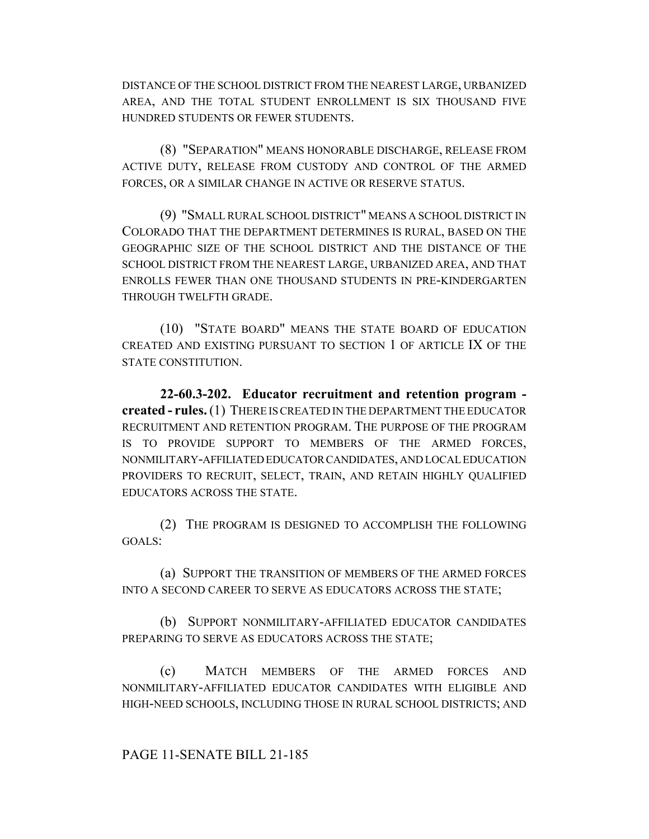DISTANCE OF THE SCHOOL DISTRICT FROM THE NEAREST LARGE, URBANIZED AREA, AND THE TOTAL STUDENT ENROLLMENT IS SIX THOUSAND FIVE HUNDRED STUDENTS OR FEWER STUDENTS.

(8) "SEPARATION" MEANS HONORABLE DISCHARGE, RELEASE FROM ACTIVE DUTY, RELEASE FROM CUSTODY AND CONTROL OF THE ARMED FORCES, OR A SIMILAR CHANGE IN ACTIVE OR RESERVE STATUS.

(9) "SMALL RURAL SCHOOL DISTRICT" MEANS A SCHOOL DISTRICT IN COLORADO THAT THE DEPARTMENT DETERMINES IS RURAL, BASED ON THE GEOGRAPHIC SIZE OF THE SCHOOL DISTRICT AND THE DISTANCE OF THE SCHOOL DISTRICT FROM THE NEAREST LARGE, URBANIZED AREA, AND THAT ENROLLS FEWER THAN ONE THOUSAND STUDENTS IN PRE-KINDERGARTEN THROUGH TWELFTH GRADE.

(10) "STATE BOARD" MEANS THE STATE BOARD OF EDUCATION CREATED AND EXISTING PURSUANT TO SECTION 1 OF ARTICLE IX OF THE STATE CONSTITUTION.

**22-60.3-202. Educator recruitment and retention program created - rules.** (1) THERE IS CREATED IN THE DEPARTMENT THE EDUCATOR RECRUITMENT AND RETENTION PROGRAM. THE PURPOSE OF THE PROGRAM IS TO PROVIDE SUPPORT TO MEMBERS OF THE ARMED FORCES, NONMILITARY-AFFILIATED EDUCATOR CANDIDATES, AND LOCAL EDUCATION PROVIDERS TO RECRUIT, SELECT, TRAIN, AND RETAIN HIGHLY QUALIFIED EDUCATORS ACROSS THE STATE.

(2) THE PROGRAM IS DESIGNED TO ACCOMPLISH THE FOLLOWING GOALS:

(a) SUPPORT THE TRANSITION OF MEMBERS OF THE ARMED FORCES INTO A SECOND CAREER TO SERVE AS EDUCATORS ACROSS THE STATE;

(b) SUPPORT NONMILITARY-AFFILIATED EDUCATOR CANDIDATES PREPARING TO SERVE AS EDUCATORS ACROSS THE STATE;

(c) MATCH MEMBERS OF THE ARMED FORCES AND NONMILITARY-AFFILIATED EDUCATOR CANDIDATES WITH ELIGIBLE AND HIGH-NEED SCHOOLS, INCLUDING THOSE IN RURAL SCHOOL DISTRICTS; AND

PAGE 11-SENATE BILL 21-185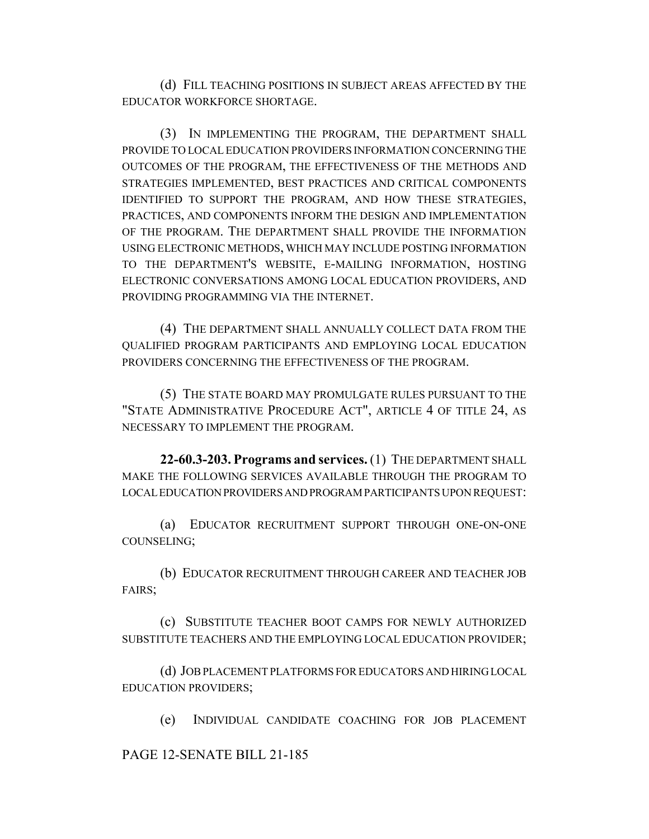(d) FILL TEACHING POSITIONS IN SUBJECT AREAS AFFECTED BY THE EDUCATOR WORKFORCE SHORTAGE.

(3) IN IMPLEMENTING THE PROGRAM, THE DEPARTMENT SHALL PROVIDE TO LOCAL EDUCATION PROVIDERS INFORMATION CONCERNING THE OUTCOMES OF THE PROGRAM, THE EFFECTIVENESS OF THE METHODS AND STRATEGIES IMPLEMENTED, BEST PRACTICES AND CRITICAL COMPONENTS IDENTIFIED TO SUPPORT THE PROGRAM, AND HOW THESE STRATEGIES, PRACTICES, AND COMPONENTS INFORM THE DESIGN AND IMPLEMENTATION OF THE PROGRAM. THE DEPARTMENT SHALL PROVIDE THE INFORMATION USING ELECTRONIC METHODS, WHICH MAY INCLUDE POSTING INFORMATION TO THE DEPARTMENT'S WEBSITE, E-MAILING INFORMATION, HOSTING ELECTRONIC CONVERSATIONS AMONG LOCAL EDUCATION PROVIDERS, AND PROVIDING PROGRAMMING VIA THE INTERNET.

(4) THE DEPARTMENT SHALL ANNUALLY COLLECT DATA FROM THE QUALIFIED PROGRAM PARTICIPANTS AND EMPLOYING LOCAL EDUCATION PROVIDERS CONCERNING THE EFFECTIVENESS OF THE PROGRAM.

(5) THE STATE BOARD MAY PROMULGATE RULES PURSUANT TO THE "STATE ADMINISTRATIVE PROCEDURE ACT", ARTICLE 4 OF TITLE 24, AS NECESSARY TO IMPLEMENT THE PROGRAM.

**22-60.3-203. Programs and services.** (1) THE DEPARTMENT SHALL MAKE THE FOLLOWING SERVICES AVAILABLE THROUGH THE PROGRAM TO LOCAL EDUCATION PROVIDERS AND PROGRAM PARTICIPANTS UPON REQUEST:

(a) EDUCATOR RECRUITMENT SUPPORT THROUGH ONE-ON-ONE COUNSELING;

(b) EDUCATOR RECRUITMENT THROUGH CAREER AND TEACHER JOB FAIRS;

(c) SUBSTITUTE TEACHER BOOT CAMPS FOR NEWLY AUTHORIZED SUBSTITUTE TEACHERS AND THE EMPLOYING LOCAL EDUCATION PROVIDER;

(d) JOB PLACEMENT PLATFORMS FOR EDUCATORS AND HIRING LOCAL EDUCATION PROVIDERS;

(e) INDIVIDUAL CANDIDATE COACHING FOR JOB PLACEMENT

PAGE 12-SENATE BILL 21-185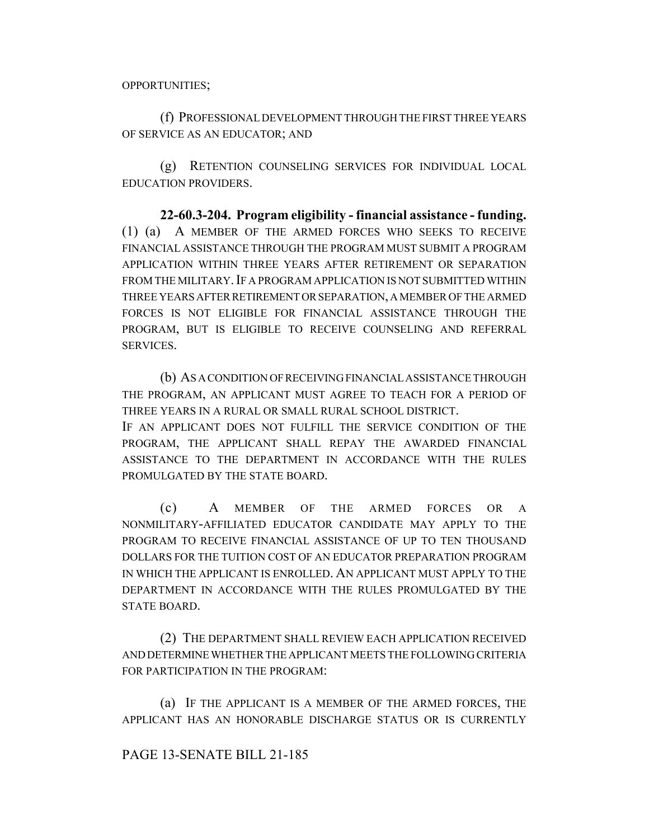(f) PROFESSIONAL DEVELOPMENT THROUGH THE FIRST THREE YEARS OF SERVICE AS AN EDUCATOR; AND

(g) RETENTION COUNSELING SERVICES FOR INDIVIDUAL LOCAL EDUCATION PROVIDERS.

**22-60.3-204. Program eligibility - financial assistance - funding.** (1) (a) A MEMBER OF THE ARMED FORCES WHO SEEKS TO RECEIVE FINANCIAL ASSISTANCE THROUGH THE PROGRAM MUST SUBMIT A PROGRAM APPLICATION WITHIN THREE YEARS AFTER RETIREMENT OR SEPARATION FROM THE MILITARY. IF A PROGRAM APPLICATION IS NOT SUBMITTED WITHIN THREE YEARS AFTER RETIREMENT OR SEPARATION, A MEMBER OF THE ARMED FORCES IS NOT ELIGIBLE FOR FINANCIAL ASSISTANCE THROUGH THE PROGRAM, BUT IS ELIGIBLE TO RECEIVE COUNSELING AND REFERRAL SERVICES.

(b) AS A CONDITION OF RECEIVING FINANCIAL ASSISTANCE THROUGH THE PROGRAM, AN APPLICANT MUST AGREE TO TEACH FOR A PERIOD OF THREE YEARS IN A RURAL OR SMALL RURAL SCHOOL DISTRICT.

IF AN APPLICANT DOES NOT FULFILL THE SERVICE CONDITION OF THE PROGRAM, THE APPLICANT SHALL REPAY THE AWARDED FINANCIAL ASSISTANCE TO THE DEPARTMENT IN ACCORDANCE WITH THE RULES PROMULGATED BY THE STATE BOARD.

(c) A MEMBER OF THE ARMED FORCES OR A NONMILITARY-AFFILIATED EDUCATOR CANDIDATE MAY APPLY TO THE PROGRAM TO RECEIVE FINANCIAL ASSISTANCE OF UP TO TEN THOUSAND DOLLARS FOR THE TUITION COST OF AN EDUCATOR PREPARATION PROGRAM IN WHICH THE APPLICANT IS ENROLLED. AN APPLICANT MUST APPLY TO THE DEPARTMENT IN ACCORDANCE WITH THE RULES PROMULGATED BY THE STATE BOARD.

(2) THE DEPARTMENT SHALL REVIEW EACH APPLICATION RECEIVED AND DETERMINE WHETHER THE APPLICANT MEETS THE FOLLOWING CRITERIA FOR PARTICIPATION IN THE PROGRAM:

(a) IF THE APPLICANT IS A MEMBER OF THE ARMED FORCES, THE APPLICANT HAS AN HONORABLE DISCHARGE STATUS OR IS CURRENTLY

# PAGE 13-SENATE BILL 21-185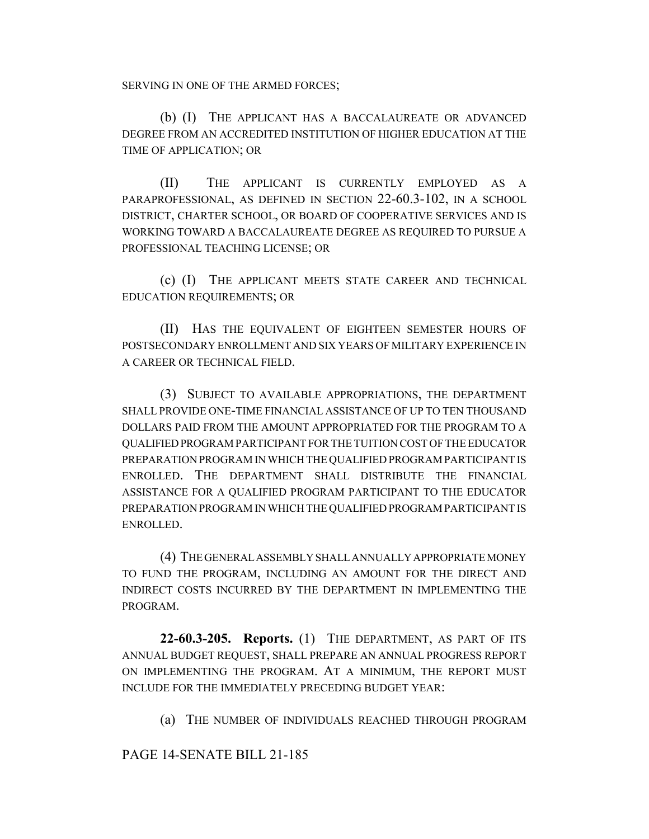SERVING IN ONE OF THE ARMED FORCES;

(b) (I) THE APPLICANT HAS A BACCALAUREATE OR ADVANCED DEGREE FROM AN ACCREDITED INSTITUTION OF HIGHER EDUCATION AT THE TIME OF APPLICATION; OR

(II) THE APPLICANT IS CURRENTLY EMPLOYED AS A PARAPROFESSIONAL, AS DEFINED IN SECTION 22-60.3-102, IN A SCHOOL DISTRICT, CHARTER SCHOOL, OR BOARD OF COOPERATIVE SERVICES AND IS WORKING TOWARD A BACCALAUREATE DEGREE AS REQUIRED TO PURSUE A PROFESSIONAL TEACHING LICENSE; OR

(c) (I) THE APPLICANT MEETS STATE CAREER AND TECHNICAL EDUCATION REQUIREMENTS; OR

(II) HAS THE EQUIVALENT OF EIGHTEEN SEMESTER HOURS OF POSTSECONDARY ENROLLMENT AND SIX YEARS OF MILITARY EXPERIENCE IN A CAREER OR TECHNICAL FIELD.

(3) SUBJECT TO AVAILABLE APPROPRIATIONS, THE DEPARTMENT SHALL PROVIDE ONE-TIME FINANCIAL ASSISTANCE OF UP TO TEN THOUSAND DOLLARS PAID FROM THE AMOUNT APPROPRIATED FOR THE PROGRAM TO A QUALIFIED PROGRAM PARTICIPANT FOR THE TUITION COST OF THE EDUCATOR PREPARATION PROGRAM IN WHICH THE QUALIFIED PROGRAM PARTICIPANT IS ENROLLED. THE DEPARTMENT SHALL DISTRIBUTE THE FINANCIAL ASSISTANCE FOR A QUALIFIED PROGRAM PARTICIPANT TO THE EDUCATOR PREPARATION PROGRAM IN WHICH THE QUALIFIED PROGRAM PARTICIPANT IS ENROLLED.

(4) THE GENERAL ASSEMBLY SHALL ANNUALLY APPROPRIATE MONEY TO FUND THE PROGRAM, INCLUDING AN AMOUNT FOR THE DIRECT AND INDIRECT COSTS INCURRED BY THE DEPARTMENT IN IMPLEMENTING THE PROGRAM.

**22-60.3-205. Reports.** (1) THE DEPARTMENT, AS PART OF ITS ANNUAL BUDGET REQUEST, SHALL PREPARE AN ANNUAL PROGRESS REPORT ON IMPLEMENTING THE PROGRAM. AT A MINIMUM, THE REPORT MUST INCLUDE FOR THE IMMEDIATELY PRECEDING BUDGET YEAR:

(a) THE NUMBER OF INDIVIDUALS REACHED THROUGH PROGRAM

PAGE 14-SENATE BILL 21-185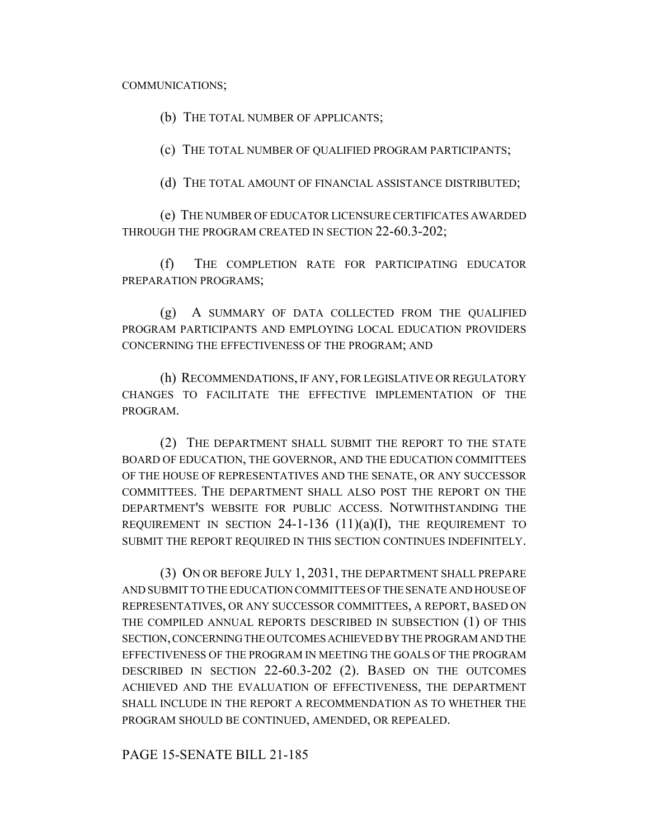#### COMMUNICATIONS;

(b) THE TOTAL NUMBER OF APPLICANTS;

(c) THE TOTAL NUMBER OF QUALIFIED PROGRAM PARTICIPANTS;

(d) THE TOTAL AMOUNT OF FINANCIAL ASSISTANCE DISTRIBUTED;

(e) THE NUMBER OF EDUCATOR LICENSURE CERTIFICATES AWARDED THROUGH THE PROGRAM CREATED IN SECTION 22-60.3-202;

(f) THE COMPLETION RATE FOR PARTICIPATING EDUCATOR PREPARATION PROGRAMS;

(g) A SUMMARY OF DATA COLLECTED FROM THE QUALIFIED PROGRAM PARTICIPANTS AND EMPLOYING LOCAL EDUCATION PROVIDERS CONCERNING THE EFFECTIVENESS OF THE PROGRAM; AND

(h) RECOMMENDATIONS, IF ANY, FOR LEGISLATIVE OR REGULATORY CHANGES TO FACILITATE THE EFFECTIVE IMPLEMENTATION OF THE PROGRAM.

(2) THE DEPARTMENT SHALL SUBMIT THE REPORT TO THE STATE BOARD OF EDUCATION, THE GOVERNOR, AND THE EDUCATION COMMITTEES OF THE HOUSE OF REPRESENTATIVES AND THE SENATE, OR ANY SUCCESSOR COMMITTEES. THE DEPARTMENT SHALL ALSO POST THE REPORT ON THE DEPARTMENT'S WEBSITE FOR PUBLIC ACCESS. NOTWITHSTANDING THE REQUIREMENT IN SECTION  $24$ -1-136 (11)(a)(I), THE REQUIREMENT TO SUBMIT THE REPORT REQUIRED IN THIS SECTION CONTINUES INDEFINITELY.

(3) ON OR BEFORE JULY 1, 2031, THE DEPARTMENT SHALL PREPARE AND SUBMIT TO THE EDUCATION COMMITTEES OF THE SENATE AND HOUSE OF REPRESENTATIVES, OR ANY SUCCESSOR COMMITTEES, A REPORT, BASED ON THE COMPILED ANNUAL REPORTS DESCRIBED IN SUBSECTION (1) OF THIS SECTION, CONCERNING THE OUTCOMES ACHIEVED BY THE PROGRAM AND THE EFFECTIVENESS OF THE PROGRAM IN MEETING THE GOALS OF THE PROGRAM DESCRIBED IN SECTION 22-60.3-202 (2). BASED ON THE OUTCOMES ACHIEVED AND THE EVALUATION OF EFFECTIVENESS, THE DEPARTMENT SHALL INCLUDE IN THE REPORT A RECOMMENDATION AS TO WHETHER THE PROGRAM SHOULD BE CONTINUED, AMENDED, OR REPEALED.

PAGE 15-SENATE BILL 21-185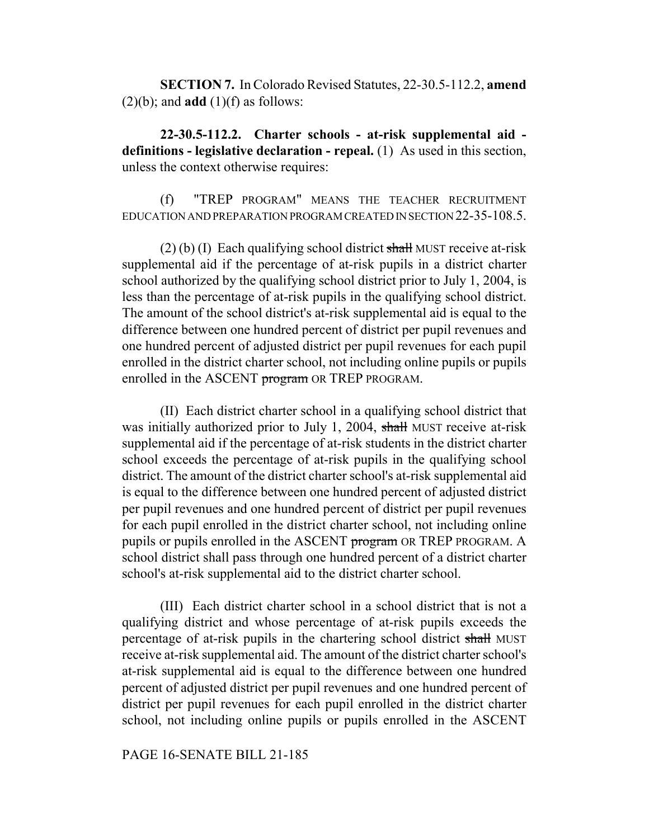**SECTION 7.** In Colorado Revised Statutes, 22-30.5-112.2, **amend**  $(2)(b)$ ; and **add**  $(1)(f)$  as follows:

**22-30.5-112.2. Charter schools - at-risk supplemental aid definitions - legislative declaration - repeal.** (1) As used in this section, unless the context otherwise requires:

(f) "TREP PROGRAM" MEANS THE TEACHER RECRUITMENT EDUCATION AND PREPARATION PROGRAM CREATED IN SECTION 22-35-108.5.

 $(2)$  (b) (I) Each qualifying school district shall MUST receive at-risk supplemental aid if the percentage of at-risk pupils in a district charter school authorized by the qualifying school district prior to July 1, 2004, is less than the percentage of at-risk pupils in the qualifying school district. The amount of the school district's at-risk supplemental aid is equal to the difference between one hundred percent of district per pupil revenues and one hundred percent of adjusted district per pupil revenues for each pupil enrolled in the district charter school, not including online pupils or pupils enrolled in the ASCENT program OR TREP PROGRAM.

(II) Each district charter school in a qualifying school district that was initially authorized prior to July 1, 2004, shall MUST receive at-risk supplemental aid if the percentage of at-risk students in the district charter school exceeds the percentage of at-risk pupils in the qualifying school district. The amount of the district charter school's at-risk supplemental aid is equal to the difference between one hundred percent of adjusted district per pupil revenues and one hundred percent of district per pupil revenues for each pupil enrolled in the district charter school, not including online pupils or pupils enrolled in the ASCENT program OR TREP PROGRAM. A school district shall pass through one hundred percent of a district charter school's at-risk supplemental aid to the district charter school.

(III) Each district charter school in a school district that is not a qualifying district and whose percentage of at-risk pupils exceeds the percentage of at-risk pupils in the chartering school district shall MUST receive at-risk supplemental aid. The amount of the district charter school's at-risk supplemental aid is equal to the difference between one hundred percent of adjusted district per pupil revenues and one hundred percent of district per pupil revenues for each pupil enrolled in the district charter school, not including online pupils or pupils enrolled in the ASCENT

### PAGE 16-SENATE BILL 21-185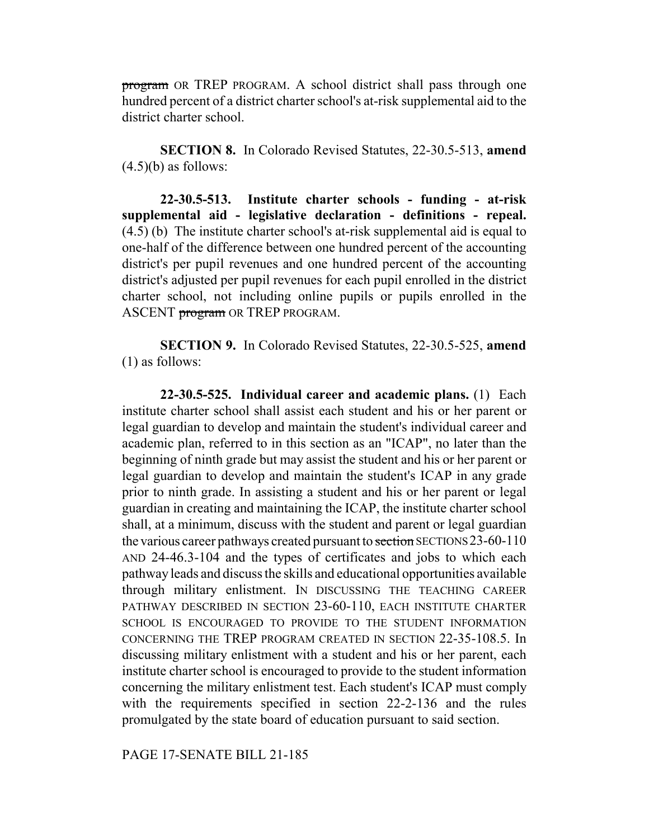program OR TREP PROGRAM. A school district shall pass through one hundred percent of a district charter school's at-risk supplemental aid to the district charter school.

**SECTION 8.** In Colorado Revised Statutes, 22-30.5-513, **amend**  $(4.5)(b)$  as follows:

**22-30.5-513. Institute charter schools - funding - at-risk supplemental aid - legislative declaration - definitions - repeal.** (4.5) (b) The institute charter school's at-risk supplemental aid is equal to one-half of the difference between one hundred percent of the accounting district's per pupil revenues and one hundred percent of the accounting district's adjusted per pupil revenues for each pupil enrolled in the district charter school, not including online pupils or pupils enrolled in the ASCENT **program** OR TREP PROGRAM.

**SECTION 9.** In Colorado Revised Statutes, 22-30.5-525, **amend** (1) as follows:

**22-30.5-525. Individual career and academic plans.** (1) Each institute charter school shall assist each student and his or her parent or legal guardian to develop and maintain the student's individual career and academic plan, referred to in this section as an "ICAP", no later than the beginning of ninth grade but may assist the student and his or her parent or legal guardian to develop and maintain the student's ICAP in any grade prior to ninth grade. In assisting a student and his or her parent or legal guardian in creating and maintaining the ICAP, the institute charter school shall, at a minimum, discuss with the student and parent or legal guardian the various career pathways created pursuant to section SECTIONS 23-60-110 AND 24-46.3-104 and the types of certificates and jobs to which each pathway leads and discuss the skills and educational opportunities available through military enlistment. IN DISCUSSING THE TEACHING CAREER PATHWAY DESCRIBED IN SECTION 23-60-110, EACH INSTITUTE CHARTER SCHOOL IS ENCOURAGED TO PROVIDE TO THE STUDENT INFORMATION CONCERNING THE TREP PROGRAM CREATED IN SECTION 22-35-108.5. In discussing military enlistment with a student and his or her parent, each institute charter school is encouraged to provide to the student information concerning the military enlistment test. Each student's ICAP must comply with the requirements specified in section 22-2-136 and the rules promulgated by the state board of education pursuant to said section.

PAGE 17-SENATE BILL 21-185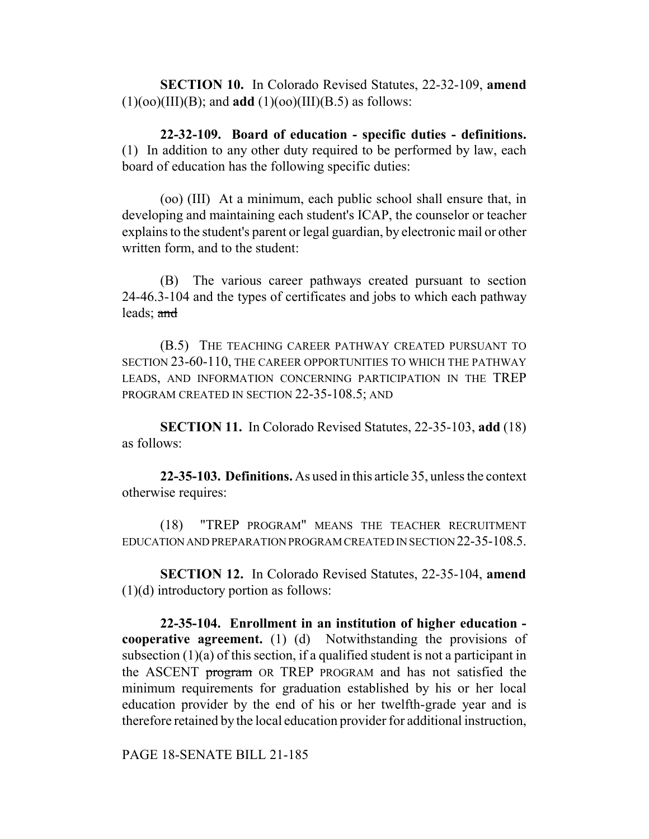**SECTION 10.** In Colorado Revised Statutes, 22-32-109, **amend**  $(1)(oo)(III)(B)$ ; and **add**  $(1)(oo)(III)(B.5)$  as follows:

**22-32-109. Board of education - specific duties - definitions.** (1) In addition to any other duty required to be performed by law, each board of education has the following specific duties:

(oo) (III) At a minimum, each public school shall ensure that, in developing and maintaining each student's ICAP, the counselor or teacher explains to the student's parent or legal guardian, by electronic mail or other written form, and to the student:

(B) The various career pathways created pursuant to section 24-46.3-104 and the types of certificates and jobs to which each pathway leads; and

(B.5) THE TEACHING CAREER PATHWAY CREATED PURSUANT TO SECTION 23-60-110, THE CAREER OPPORTUNITIES TO WHICH THE PATHWAY LEADS, AND INFORMATION CONCERNING PARTICIPATION IN THE TREP PROGRAM CREATED IN SECTION 22-35-108.5; AND

**SECTION 11.** In Colorado Revised Statutes, 22-35-103, **add** (18) as follows:

**22-35-103. Definitions.** As used in this article 35, unless the context otherwise requires:

(18) "TREP PROGRAM" MEANS THE TEACHER RECRUITMENT EDUCATION AND PREPARATION PROGRAM CREATED IN SECTION 22-35-108.5.

**SECTION 12.** In Colorado Revised Statutes, 22-35-104, **amend** (1)(d) introductory portion as follows:

**22-35-104. Enrollment in an institution of higher education cooperative agreement.** (1) (d) Notwithstanding the provisions of subsection (1)(a) of this section, if a qualified student is not a participant in the ASCENT program OR TREP PROGRAM and has not satisfied the minimum requirements for graduation established by his or her local education provider by the end of his or her twelfth-grade year and is therefore retained by the local education provider for additional instruction,

PAGE 18-SENATE BILL 21-185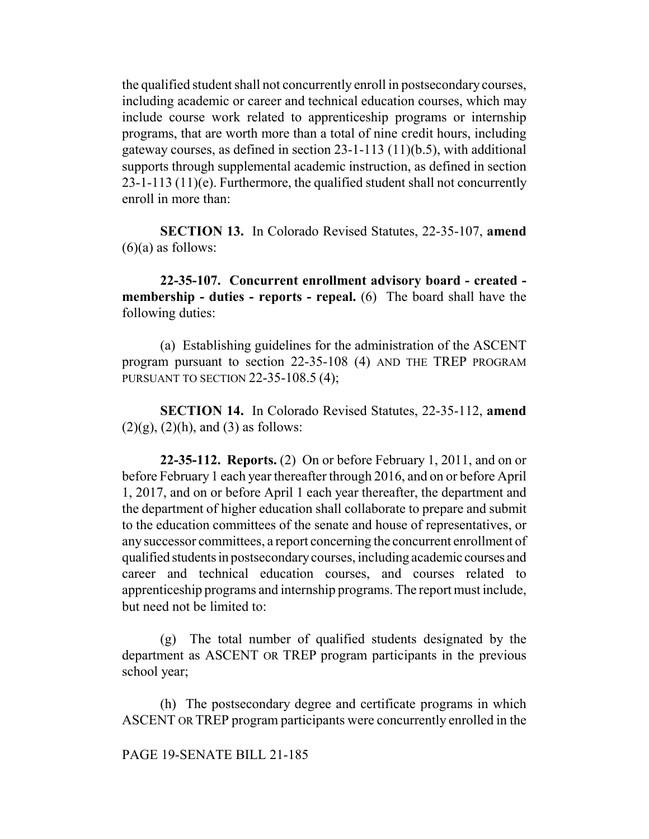the qualified student shall not concurrently enroll in postsecondary courses, including academic or career and technical education courses, which may include course work related to apprenticeship programs or internship programs, that are worth more than a total of nine credit hours, including gateway courses, as defined in section 23-1-113 (11)(b.5), with additional supports through supplemental academic instruction, as defined in section 23-1-113 (11)(e). Furthermore, the qualified student shall not concurrently enroll in more than:

**SECTION 13.** In Colorado Revised Statutes, 22-35-107, **amend**  $(6)(a)$  as follows:

**22-35-107. Concurrent enrollment advisory board - created membership - duties - reports - repeal.** (6) The board shall have the following duties:

(a) Establishing guidelines for the administration of the ASCENT program pursuant to section 22-35-108 (4) AND THE TREP PROGRAM PURSUANT TO SECTION 22-35-108.5 (4);

**SECTION 14.** In Colorado Revised Statutes, 22-35-112, **amend**  $(2)(g)$ ,  $(2)(h)$ , and  $(3)$  as follows:

**22-35-112. Reports.** (2) On or before February 1, 2011, and on or before February 1 each year thereafter through 2016, and on or before April 1, 2017, and on or before April 1 each year thereafter, the department and the department of higher education shall collaborate to prepare and submit to the education committees of the senate and house of representatives, or any successor committees, a report concerning the concurrent enrollment of qualified students in postsecondary courses, including academic courses and career and technical education courses, and courses related to apprenticeship programs and internship programs. The report must include, but need not be limited to:

(g) The total number of qualified students designated by the department as ASCENT OR TREP program participants in the previous school year;

(h) The postsecondary degree and certificate programs in which ASCENT OR TREP program participants were concurrently enrolled in the

PAGE 19-SENATE BILL 21-185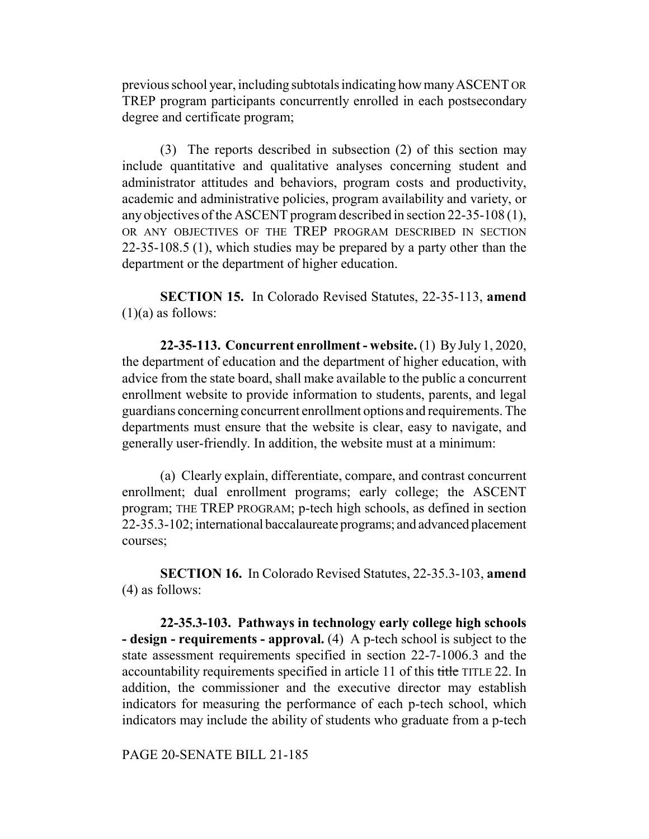previous school year, including subtotals indicating how many ASCENT OR TREP program participants concurrently enrolled in each postsecondary degree and certificate program;

(3) The reports described in subsection (2) of this section may include quantitative and qualitative analyses concerning student and administrator attitudes and behaviors, program costs and productivity, academic and administrative policies, program availability and variety, or any objectives of the ASCENT program described in section 22-35-108 (1), OR ANY OBJECTIVES OF THE TREP PROGRAM DESCRIBED IN SECTION 22-35-108.5 (1), which studies may be prepared by a party other than the department or the department of higher education.

**SECTION 15.** In Colorado Revised Statutes, 22-35-113, **amend**  $(1)(a)$  as follows:

**22-35-113. Concurrent enrollment - website.** (1) By July 1, 2020, the department of education and the department of higher education, with advice from the state board, shall make available to the public a concurrent enrollment website to provide information to students, parents, and legal guardians concerning concurrent enrollment options and requirements. The departments must ensure that the website is clear, easy to navigate, and generally user-friendly. In addition, the website must at a minimum:

(a) Clearly explain, differentiate, compare, and contrast concurrent enrollment; dual enrollment programs; early college; the ASCENT program; THE TREP PROGRAM; p-tech high schools, as defined in section 22-35.3-102; international baccalaureate programs; and advanced placement courses;

**SECTION 16.** In Colorado Revised Statutes, 22-35.3-103, **amend** (4) as follows:

**22-35.3-103. Pathways in technology early college high schools - design - requirements - approval.** (4) A p-tech school is subject to the state assessment requirements specified in section 22-7-1006.3 and the accountability requirements specified in article 11 of this title TITLE 22. In addition, the commissioner and the executive director may establish indicators for measuring the performance of each p-tech school, which indicators may include the ability of students who graduate from a p-tech

PAGE 20-SENATE BILL 21-185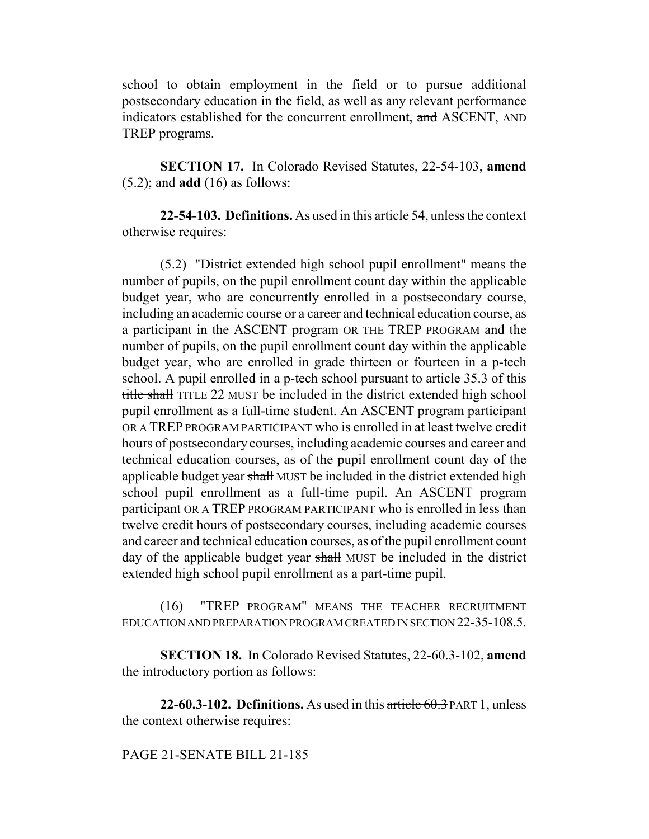school to obtain employment in the field or to pursue additional postsecondary education in the field, as well as any relevant performance indicators established for the concurrent enrollment, and ASCENT, AND TREP programs.

**SECTION 17.** In Colorado Revised Statutes, 22-54-103, **amend** (5.2); and **add** (16) as follows:

**22-54-103. Definitions.** As used in this article 54, unless the context otherwise requires:

(5.2) "District extended high school pupil enrollment" means the number of pupils, on the pupil enrollment count day within the applicable budget year, who are concurrently enrolled in a postsecondary course, including an academic course or a career and technical education course, as a participant in the ASCENT program OR THE TREP PROGRAM and the number of pupils, on the pupil enrollment count day within the applicable budget year, who are enrolled in grade thirteen or fourteen in a p-tech school. A pupil enrolled in a p-tech school pursuant to article 35.3 of this title shall TITLE 22 MUST be included in the district extended high school pupil enrollment as a full-time student. An ASCENT program participant OR A TREP PROGRAM PARTICIPANT who is enrolled in at least twelve credit hours of postsecondary courses, including academic courses and career and technical education courses, as of the pupil enrollment count day of the applicable budget year shall MUST be included in the district extended high school pupil enrollment as a full-time pupil. An ASCENT program participant OR A TREP PROGRAM PARTICIPANT who is enrolled in less than twelve credit hours of postsecondary courses, including academic courses and career and technical education courses, as of the pupil enrollment count day of the applicable budget year shall MUST be included in the district extended high school pupil enrollment as a part-time pupil.

(16) "TREP PROGRAM" MEANS THE TEACHER RECRUITMENT EDUCATION AND PREPARATION PROGRAM CREATED IN SECTION 22-35-108.5.

**SECTION 18.** In Colorado Revised Statutes, 22-60.3-102, **amend** the introductory portion as follows:

**22-60.3-102. Definitions.** As used in this article 60.3 PART 1, unless the context otherwise requires:

## PAGE 21-SENATE BILL 21-185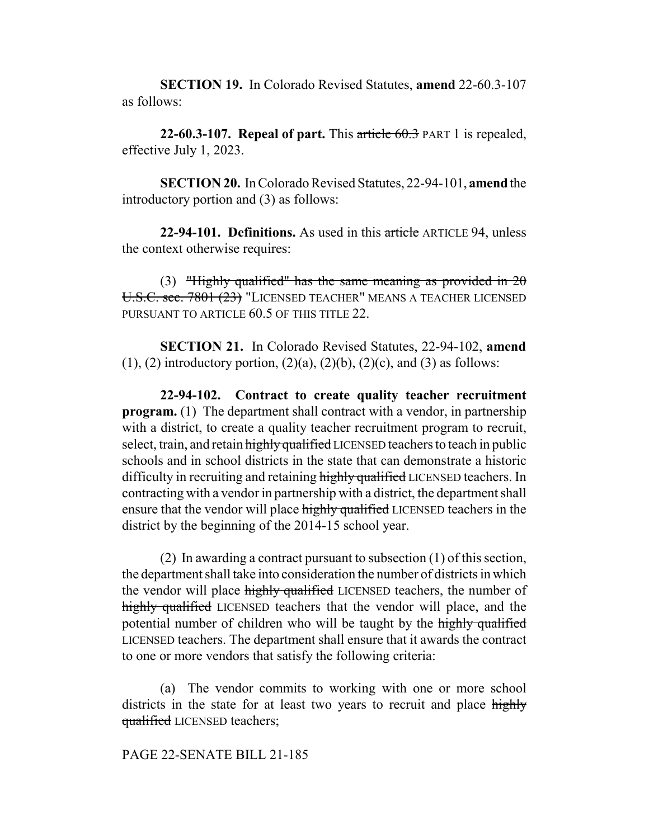**SECTION 19.** In Colorado Revised Statutes, **amend** 22-60.3-107 as follows:

**22-60.3-107. Repeal of part.** This article 60.3 PART 1 is repealed, effective July 1, 2023.

**SECTION 20.** In Colorado Revised Statutes, 22-94-101, **amend** the introductory portion and (3) as follows:

**22-94-101. Definitions.** As used in this article ARTICLE 94, unless the context otherwise requires:

(3) "Highly qualified" has the same meaning as provided in  $2\theta$ U.S.C. sec. 7801 (23) "LICENSED TEACHER" MEANS A TEACHER LICENSED PURSUANT TO ARTICLE 60.5 OF THIS TITLE 22.

**SECTION 21.** In Colorado Revised Statutes, 22-94-102, **amend**  $(1)$ ,  $(2)$  introductory portion,  $(2)(a)$ ,  $(2)(b)$ ,  $(2)(c)$ , and  $(3)$  as follows:

**22-94-102. Contract to create quality teacher recruitment program.** (1) The department shall contract with a vendor, in partnership with a district, to create a quality teacher recruitment program to recruit, select, train, and retain highly qualified LICENSED teachers to teach in public schools and in school districts in the state that can demonstrate a historic difficulty in recruiting and retaining highly qualified LICENSED teachers. In contracting with a vendor in partnership with a district, the department shall ensure that the vendor will place highly qualified LICENSED teachers in the district by the beginning of the 2014-15 school year.

(2) In awarding a contract pursuant to subsection (1) of this section, the department shall take into consideration the number of districts in which the vendor will place highly qualified LICENSED teachers, the number of highly qualified LICENSED teachers that the vendor will place, and the potential number of children who will be taught by the highly qualified LICENSED teachers. The department shall ensure that it awards the contract to one or more vendors that satisfy the following criteria:

(a) The vendor commits to working with one or more school districts in the state for at least two years to recruit and place highly qualified LICENSED teachers;

### PAGE 22-SENATE BILL 21-185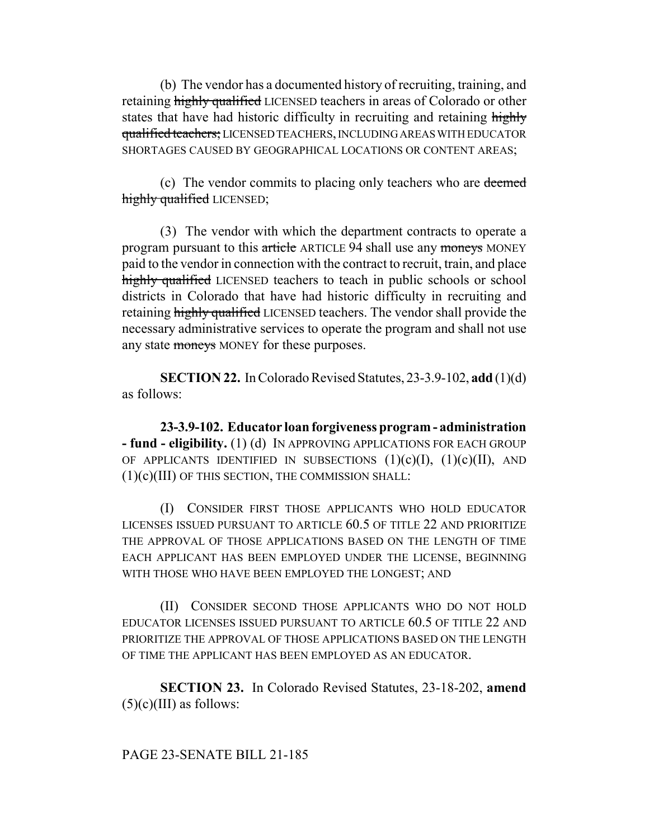(b) The vendor has a documented history of recruiting, training, and retaining highly qualified LICENSED teachers in areas of Colorado or other states that have had historic difficulty in recruiting and retaining highly qualified teachers; LICENSED TEACHERS, INCLUDING AREAS WITH EDUCATOR SHORTAGES CAUSED BY GEOGRAPHICAL LOCATIONS OR CONTENT AREAS;

(c) The vendor commits to placing only teachers who are deemed highly qualified LICENSED;

(3) The vendor with which the department contracts to operate a program pursuant to this article ARTICLE 94 shall use any moneys MONEY paid to the vendor in connection with the contract to recruit, train, and place highly qualified LICENSED teachers to teach in public schools or school districts in Colorado that have had historic difficulty in recruiting and retaining highly qualified LICENSED teachers. The vendor shall provide the necessary administrative services to operate the program and shall not use any state moneys MONEY for these purposes.

**SECTION 22.** In Colorado Revised Statutes, 23-3.9-102, **add** (1)(d) as follows:

**23-3.9-102. Educator loan forgiveness program - administration - fund - eligibility.** (1) (d) IN APPROVING APPLICATIONS FOR EACH GROUP OF APPLICANTS IDENTIFIED IN SUBSECTIONS  $(1)(c)(I)$ ,  $(1)(c)(II)$ , AND (1)(c)(III) OF THIS SECTION, THE COMMISSION SHALL:

(I) CONSIDER FIRST THOSE APPLICANTS WHO HOLD EDUCATOR LICENSES ISSUED PURSUANT TO ARTICLE 60.5 OF TITLE 22 AND PRIORITIZE THE APPROVAL OF THOSE APPLICATIONS BASED ON THE LENGTH OF TIME EACH APPLICANT HAS BEEN EMPLOYED UNDER THE LICENSE, BEGINNING WITH THOSE WHO HAVE BEEN EMPLOYED THE LONGEST; AND

(II) CONSIDER SECOND THOSE APPLICANTS WHO DO NOT HOLD EDUCATOR LICENSES ISSUED PURSUANT TO ARTICLE 60.5 OF TITLE 22 AND PRIORITIZE THE APPROVAL OF THOSE APPLICATIONS BASED ON THE LENGTH OF TIME THE APPLICANT HAS BEEN EMPLOYED AS AN EDUCATOR.

**SECTION 23.** In Colorado Revised Statutes, 23-18-202, **amend**  $(5)(c)(III)$  as follows: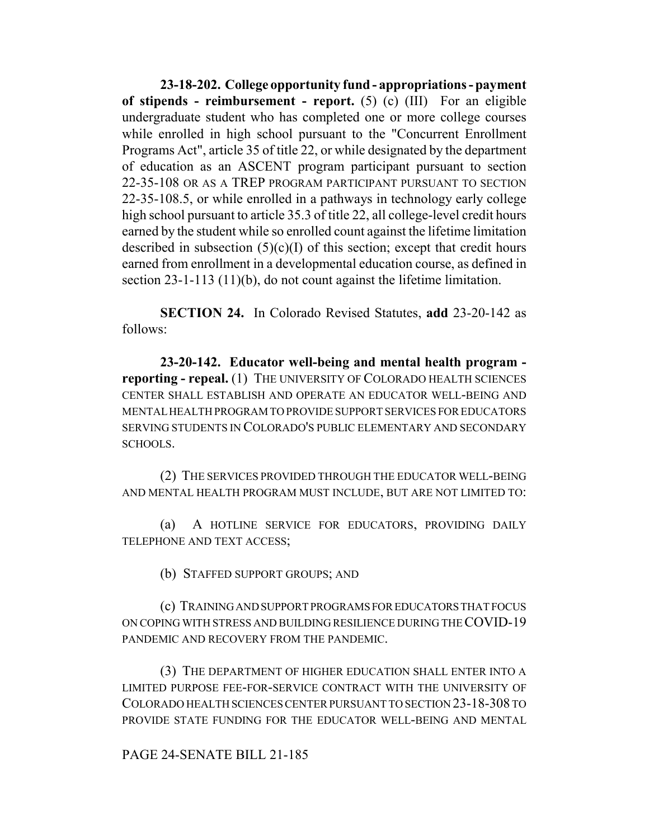**23-18-202. College opportunity fund - appropriations - payment of stipends - reimbursement - report.** (5) (c) (III) For an eligible undergraduate student who has completed one or more college courses while enrolled in high school pursuant to the "Concurrent Enrollment Programs Act", article 35 of title 22, or while designated by the department of education as an ASCENT program participant pursuant to section 22-35-108 OR AS A TREP PROGRAM PARTICIPANT PURSUANT TO SECTION 22-35-108.5, or while enrolled in a pathways in technology early college high school pursuant to article 35.3 of title 22, all college-level credit hours earned by the student while so enrolled count against the lifetime limitation described in subsection  $(5)(c)(I)$  of this section; except that credit hours earned from enrollment in a developmental education course, as defined in section 23-1-113 (11)(b), do not count against the lifetime limitation.

**SECTION 24.** In Colorado Revised Statutes, **add** 23-20-142 as follows:

**23-20-142. Educator well-being and mental health program reporting - repeal.** (1) THE UNIVERSITY OF COLORADO HEALTH SCIENCES CENTER SHALL ESTABLISH AND OPERATE AN EDUCATOR WELL-BEING AND MENTAL HEALTH PROGRAM TO PROVIDE SUPPORT SERVICES FOR EDUCATORS SERVING STUDENTS IN COLORADO'S PUBLIC ELEMENTARY AND SECONDARY SCHOOLS.

(2) THE SERVICES PROVIDED THROUGH THE EDUCATOR WELL-BEING AND MENTAL HEALTH PROGRAM MUST INCLUDE, BUT ARE NOT LIMITED TO:

(a) A HOTLINE SERVICE FOR EDUCATORS, PROVIDING DAILY TELEPHONE AND TEXT ACCESS;

(b) STAFFED SUPPORT GROUPS; AND

(c) TRAINING AND SUPPORT PROGRAMS FOR EDUCATORS THAT FOCUS ON COPING WITH STRESS AND BUILDING RESILIENCE DURING THE COVID-19 PANDEMIC AND RECOVERY FROM THE PANDEMIC.

(3) THE DEPARTMENT OF HIGHER EDUCATION SHALL ENTER INTO A LIMITED PURPOSE FEE-FOR-SERVICE CONTRACT WITH THE UNIVERSITY OF COLORADO HEALTH SCIENCES CENTER PURSUANT TO SECTION 23-18-308 TO PROVIDE STATE FUNDING FOR THE EDUCATOR WELL-BEING AND MENTAL

## PAGE 24-SENATE BILL 21-185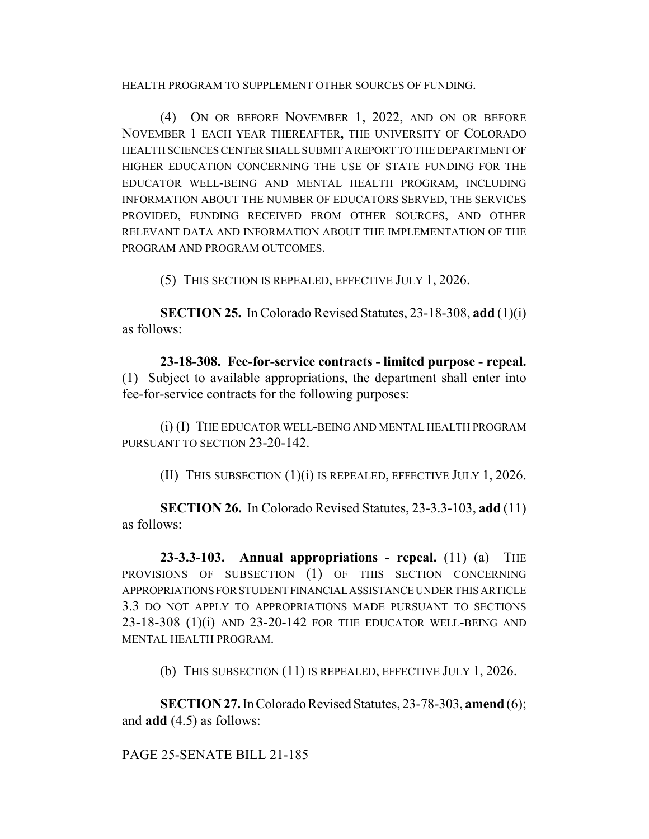HEALTH PROGRAM TO SUPPLEMENT OTHER SOURCES OF FUNDING.

(4) ON OR BEFORE NOVEMBER 1, 2022, AND ON OR BEFORE NOVEMBER 1 EACH YEAR THEREAFTER, THE UNIVERSITY OF COLORADO HEALTH SCIENCES CENTER SHALL SUBMIT A REPORT TO THE DEPARTMENT OF HIGHER EDUCATION CONCERNING THE USE OF STATE FUNDING FOR THE EDUCATOR WELL-BEING AND MENTAL HEALTH PROGRAM, INCLUDING INFORMATION ABOUT THE NUMBER OF EDUCATORS SERVED, THE SERVICES PROVIDED, FUNDING RECEIVED FROM OTHER SOURCES, AND OTHER RELEVANT DATA AND INFORMATION ABOUT THE IMPLEMENTATION OF THE PROGRAM AND PROGRAM OUTCOMES.

(5) THIS SECTION IS REPEALED, EFFECTIVE JULY 1, 2026.

**SECTION 25.** In Colorado Revised Statutes, 23-18-308, **add** (1)(i) as follows:

**23-18-308. Fee-for-service contracts - limited purpose - repeal.** (1) Subject to available appropriations, the department shall enter into fee-for-service contracts for the following purposes:

(i) (I) THE EDUCATOR WELL-BEING AND MENTAL HEALTH PROGRAM PURSUANT TO SECTION 23-20-142.

(II) THIS SUBSECTION  $(1)(i)$  IS REPEALED, EFFECTIVE JULY 1, 2026.

**SECTION 26.** In Colorado Revised Statutes, 23-3.3-103, **add** (11) as follows:

**23-3.3-103. Annual appropriations - repeal.** (11) (a) THE PROVISIONS OF SUBSECTION (1) OF THIS SECTION CONCERNING APPROPRIATIONS FOR STUDENT FINANCIAL ASSISTANCE UNDER THIS ARTICLE 3.3 DO NOT APPLY TO APPROPRIATIONS MADE PURSUANT TO SECTIONS 23-18-308 (1)(i) AND 23-20-142 FOR THE EDUCATOR WELL-BEING AND MENTAL HEALTH PROGRAM.

(b) THIS SUBSECTION (11) IS REPEALED, EFFECTIVE JULY 1, 2026.

**SECTION 27.** In Colorado Revised Statutes, 23-78-303, **amend** (6); and **add** (4.5) as follows:

# PAGE 25-SENATE BILL 21-185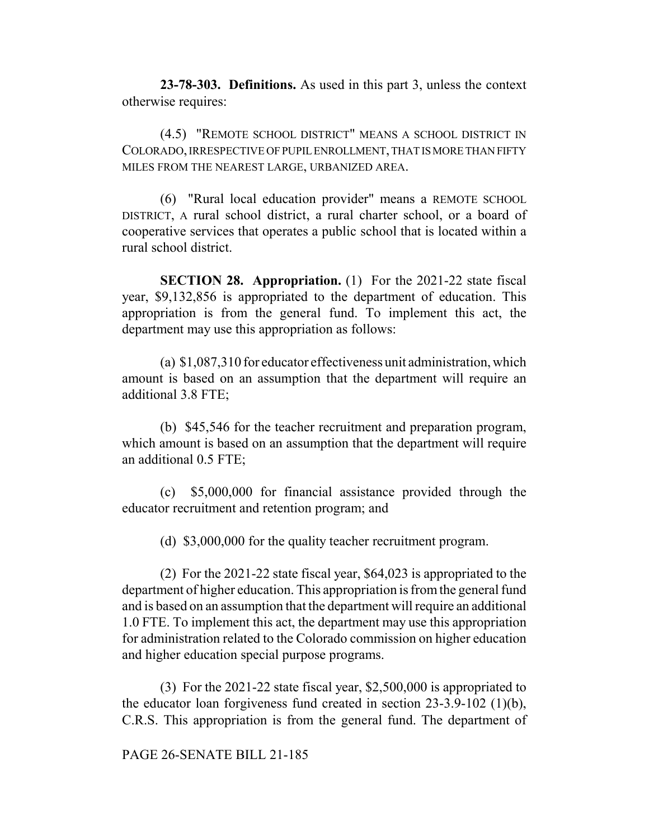**23-78-303. Definitions.** As used in this part 3, unless the context otherwise requires:

(4.5) "REMOTE SCHOOL DISTRICT" MEANS A SCHOOL DISTRICT IN COLORADO, IRRESPECTIVE OF PUPIL ENROLLMENT, THAT IS MORE THAN FIFTY MILES FROM THE NEAREST LARGE, URBANIZED AREA.

(6) "Rural local education provider" means a REMOTE SCHOOL DISTRICT, A rural school district, a rural charter school, or a board of cooperative services that operates a public school that is located within a rural school district.

**SECTION 28. Appropriation.** (1) For the 2021-22 state fiscal year, \$9,132,856 is appropriated to the department of education. This appropriation is from the general fund. To implement this act, the department may use this appropriation as follows:

(a) \$1,087,310 for educator effectiveness unit administration, which amount is based on an assumption that the department will require an additional 3.8 FTE;

(b) \$45,546 for the teacher recruitment and preparation program, which amount is based on an assumption that the department will require an additional 0.5 FTE;

(c) \$5,000,000 for financial assistance provided through the educator recruitment and retention program; and

(d) \$3,000,000 for the quality teacher recruitment program.

(2) For the 2021-22 state fiscal year, \$64,023 is appropriated to the department of higher education. This appropriation is from the general fund and is based on an assumption that the department will require an additional 1.0 FTE. To implement this act, the department may use this appropriation for administration related to the Colorado commission on higher education and higher education special purpose programs.

(3) For the 2021-22 state fiscal year, \$2,500,000 is appropriated to the educator loan forgiveness fund created in section 23-3.9-102 (1)(b), C.R.S. This appropriation is from the general fund. The department of

## PAGE 26-SENATE BILL 21-185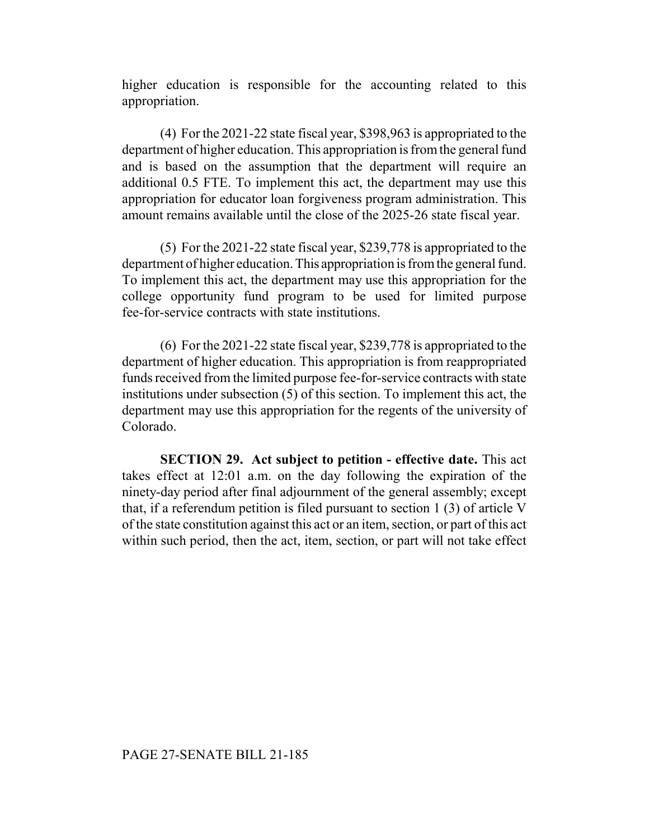higher education is responsible for the accounting related to this appropriation.

(4) For the 2021-22 state fiscal year, \$398,963 is appropriated to the department of higher education. This appropriation is from the general fund and is based on the assumption that the department will require an additional 0.5 FTE. To implement this act, the department may use this appropriation for educator loan forgiveness program administration. This amount remains available until the close of the 2025-26 state fiscal year.

(5) For the 2021-22 state fiscal year, \$239,778 is appropriated to the department of higher education. This appropriation is from the general fund. To implement this act, the department may use this appropriation for the college opportunity fund program to be used for limited purpose fee-for-service contracts with state institutions.

(6) For the 2021-22 state fiscal year, \$239,778 is appropriated to the department of higher education. This appropriation is from reappropriated funds received from the limited purpose fee-for-service contracts with state institutions under subsection (5) of this section. To implement this act, the department may use this appropriation for the regents of the university of Colorado.

**SECTION 29. Act subject to petition - effective date.** This act takes effect at 12:01 a.m. on the day following the expiration of the ninety-day period after final adjournment of the general assembly; except that, if a referendum petition is filed pursuant to section 1 (3) of article V of the state constitution against this act or an item, section, or part of this act within such period, then the act, item, section, or part will not take effect